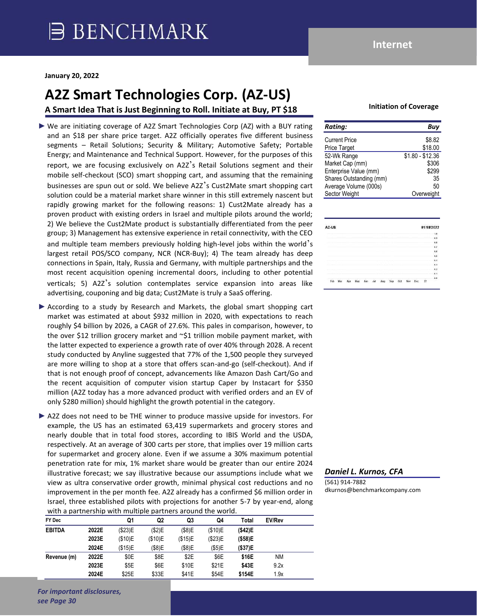# **A2Z Smart Technologies Corp. (AZ-US)**

**A Smart Idea That is Just Beginning to Roll. Initiate at Buy, PT \$18**

► We are initiating coverage of A2Z Smart Technologies Corp (AZ) with a BUY rating and an \$18 per share price target. A2Z officially operates five different business segments – Retail Solutions; Security & Military; Automotive Safety; Portable Energy; and Maintenance and Technical Support. However, for the purposes of this report, we are focusing exclusively on A2Z's Retail Solutions segment and their mobile self-checkout (SCO) smart shopping cart, and assuming that the remaining businesses are spun out or sold. We believe A2Z's Cust2Mate smart shopping cart solution could be a material market share winner in this still extremely nascent but rapidly growing market for the following reasons: 1) Cust2Mate already has a proven product with existing orders in Israel and multiple pilots around the world; 2) We believe the Cust2Mate product is substantially differentiated from the peer group; 3) Management has extensive experience in retail connectivity, with the CEO and multiple team members previously holding high-level jobs within the world's largest retail POS/SCO company, NCR (NCR-Buy); 4) The team already has deep connections in Spain, Italy, Russia and Germany, with multiple partnerships and the most recent acquisition opening incremental doors, including to other potential verticals; 5) A2Z's solution contemplates service expansion into areas like advertising, couponing and big data; Cust2Mate is truly a SaaS offering.

► According to a study by Research and Markets, the global smart shopping cart market was estimated at about \$932 million in 2020, with expectations to reach roughly \$4 billion by 2026, a CAGR of 27.6%. This pales in comparison, however, to the over \$12 trillion grocery market and ~\$1 trillion mobile payment market, with the latter expected to experience a growth rate of over 40% through 2028. A recent study conducted by Anyline suggested that 77% of the 1,500 people they surveyed are more willing to shop at a store that offers scan-and-go (self-checkout). And if that is not enough proof of concept, advancements like Amazon Dash Cart/Go and the recent acquisition of computer vision startup Caper by Instacart for \$350 million (A2Z today has a more advanced product with verified orders and an EV of only \$280 million) should highlight the growth potential in the category.

► A2Z does not need to be THE winner to produce massive upside for investors. For example, the US has an estimated 63,419 supermarkets and grocery stores and nearly double that in total food stores, according to IBIS World and the USDA, respectively. At an average of 300 carts per store, that implies over 19 million carts for supermarket and grocery alone. Even if we assume a 30% maximum potential penetration rate for mix, 1% market share would be greater than our entire 2024 illustrative forecast; we say illustrative because our assumptions include what we view as ultra conservative order growth, minimal physical cost reductions and no improvement in the per month fee. A2Z already has a confirmed \$6 million order in Israel, three established pilots with projections for another 5-7 by year-end, along with a partnership with multiple partners around the world.

| FY Dec        |       | Q1      | Q <sub>2</sub> | Q3      | Q4      | Total   | <b>EV/Rev</b> |  |
|---------------|-------|---------|----------------|---------|---------|---------|---------------|--|
| <b>EBITDA</b> | 2022E | (\$23)E | (\$2)E         | (\$8)E  | (\$10)E | (\$42)E |               |  |
|               | 2023E | (\$10)E | (\$10)E        | (\$15)E | (\$23)E | (\$58)E |               |  |
|               | 2024E | (\$15)E | (\$8)E         | (\$8)E  | (\$5)E  | (\$37)E |               |  |
| Revenue (m)   | 2022E | \$0E    | \$8E           | \$2E    | \$6E    | \$16E   | ΝM            |  |
|               | 2023E | \$5E    | \$6E           | \$10E   | \$21E   | \$43E   | 9.2x          |  |
|               | 2024E | \$25E   | \$33E          | \$41E   | \$54E   | \$154E  | 1.9x          |  |

**Internet**

#### **Initiation of Coverage**

| <b>Rating:</b>          | Buy              |
|-------------------------|------------------|
| <b>Current Price</b>    | \$8.82           |
| Price Target            | \$18.00          |
| 52-Wk Range             | $$1.80 - $12.36$ |
| Market Cap (mm)         | \$306            |
| Enterprise Value (mm)   | \$299            |
| Shares Outstanding (mm) | 35               |
| Average Volume (000s)   | 50               |
| Sector Weight           | Overweight       |

| Z-US                                                        | 01/18/2022                 |
|-------------------------------------------------------------|----------------------------|
|                                                             | 1.6                        |
|                                                             | 0.5                        |
|                                                             | 0.8                        |
|                                                             | 0.7                        |
|                                                             | 0.6                        |
|                                                             | 85                         |
|                                                             | $\overline{0}$ .4          |
|                                                             | 63                         |
|                                                             | 82                         |
|                                                             | 6.1                        |
| and a large spinster of the control of<br><b>STATISTICS</b> | 9.8<br>-                   |
|                                                             | --<br>$\dot{z}$<br>nш<br>m |

#### *Daniel L. Kurnos, CFA*

(561) 914-7882 dkurnos@benchmarkcompany.com

*For important disclosures, see Page 30*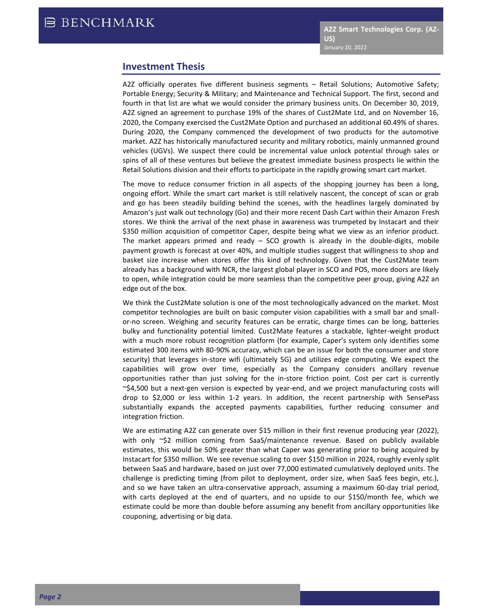## **Investment Thesis**

A2Z officially operates five different business segments – Retail Solutions; Automotive Safety; Portable Energy; Security & Military; and Maintenance and Technical Support. The first, second and fourth in that list are what we would consider the primary business units. On December 30, 2019, A2Z signed an agreement to purchase 19% of the shares of Cust2Mate Ltd, and on November 16, 2020, the Company exercised the Cust2Mate Option and purchased an additional 60.49% of shares. During 2020, the Company commenced the development of two products for the automotive market. A2Z has historically manufactured security and military robotics, mainly unmanned ground vehicles (UGVs). We suspect there could be incremental value unlock potential through sales or spins of all of these ventures but believe the greatest immediate business prospects lie within the Retail Solutions division and their efforts to participate in the rapidly growing smart cart market.

The move to reduce consumer friction in all aspects of the shopping journey has been a long, ongoing effort. While the smart cart market is still relatively nascent, the concept of scan or grab and go has been steadily building behind the scenes, with the headlines largely dominated by Amazon's just walk out technology (Go) and their more recent Dash Cart within their Amazon Fresh stores. We think the arrival of the next phase in awareness was trumpeted by Instacart and their \$350 million acquisition of competitor Caper, despite being what we view as an inferior product. The market appears primed and ready  $-$  SCO growth is already in the double-digits, mobile payment growth is forecast at over 40%, and multiple studies suggest that willingness to shop and basket size increase when stores offer this kind of technology. Given that the Cust2Mate team already has a background with NCR, the largest global player in SCO and POS, more doors are likely to open, while integration could be more seamless than the competitive peer group, giving A2Z an edge out of the box.

We think the Cust2Mate solution is one of the most technologically advanced on the market. Most competitor technologies are built on basic computer vision capabilities with a small bar and smallor-no screen. Weighing and security features can be erratic, charge times can be long, batteries bulky and functionality potential limited. Cust2Mate features a stackable, lighter-weight product with a much more robust recognition platform (for example, Caper's system only identifies some estimated 300 items with 80-90% accuracy, which can be an issue for both the consumer and store security) that leverages in-store wifi (ultimately 5G) and utilizes edge computing. We expect the capabilities will grow over time, especially as the Company considers ancillary revenue opportunities rather than just solving for the in-store friction point. Cost per cart is currently ~\$4,500 but a next-gen version is expected by year-end, and we project manufacturing costs will drop to \$2,000 or less within 1-2 years. In addition, the recent partnership with SensePass substantially expands the accepted payments capabilities, further reducing consumer and integration friction.

We are estimating A2Z can generate over \$15 million in their first revenue producing year (2022), with only ~\$2 million coming from SaaS/maintenance revenue. Based on publicly available estimates, this would be 50% greater than what Caper was generating prior to being acquired by Instacart for \$350 million. We see revenue scaling to over \$150 million in 2024, roughly evenly split between SaaS and hardware, based on just over 77,000 estimated cumulatively deployed units. The challenge is predicting timing (from pilot to deployment, order size, when SaaS fees begin, etc.), and so we have taken an ultra-conservative approach, assuming a maximum 60-day trial period, with carts deployed at the end of quarters, and no upside to our \$150/month fee, which we estimate could be more than double before assuming any benefit from ancillary opportunities like couponing, advertising or big data.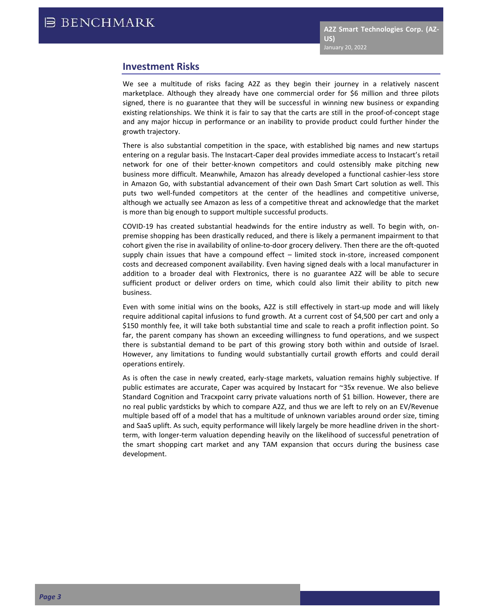## **Investment Risks**

We see a multitude of risks facing A2Z as they begin their journey in a relatively nascent marketplace. Although they already have one commercial order for \$6 million and three pilots signed, there is no guarantee that they will be successful in winning new business or expanding existing relationships. We think it is fair to say that the carts are still in the proof-of-concept stage and any major hiccup in performance or an inability to provide product could further hinder the growth trajectory.

There is also substantial competition in the space, with established big names and new startups entering on a regular basis. The Instacart-Caper deal provides immediate access to Instacart's retail network for one of their better-known competitors and could ostensibly make pitching new business more difficult. Meanwhile, Amazon has already developed a functional cashier-less store in Amazon Go, with substantial advancement of their own Dash Smart Cart solution as well. This puts two well-funded competitors at the center of the headlines and competitive universe, although we actually see Amazon as less of a competitive threat and acknowledge that the market is more than big enough to support multiple successful products.

COVID-19 has created substantial headwinds for the entire industry as well. To begin with, onpremise shopping has been drastically reduced, and there is likely a permanent impairment to that cohort given the rise in availability of online-to-door grocery delivery. Then there are the oft-quoted supply chain issues that have a compound effect – limited stock in-store, increased component costs and decreased component availability. Even having signed deals with a local manufacturer in addition to a broader deal with Flextronics, there is no guarantee A2Z will be able to secure sufficient product or deliver orders on time, which could also limit their ability to pitch new business.

Even with some initial wins on the books, A2Z is still effectively in start-up mode and will likely require additional capital infusions to fund growth. At a current cost of \$4,500 per cart and only a \$150 monthly fee, it will take both substantial time and scale to reach a profit inflection point. So far, the parent company has shown an exceeding willingness to fund operations, and we suspect there is substantial demand to be part of this growing story both within and outside of Israel. However, any limitations to funding would substantially curtail growth efforts and could derail operations entirely.

As is often the case in newly created, early-stage markets, valuation remains highly subjective. If public estimates are accurate, Caper was acquired by Instacart for ~35x revenue. We also believe Standard Cognition and Tracxpoint carry private valuations north of \$1 billion. However, there are no real public yardsticks by which to compare A2Z, and thus we are left to rely on an EV/Revenue multiple based off of a model that has a multitude of unknown variables around order size, timing and SaaS uplift. As such, equity performance will likely largely be more headline driven in the shortterm, with longer-term valuation depending heavily on the likelihood of successful penetration of the smart shopping cart market and any TAM expansion that occurs during the business case development.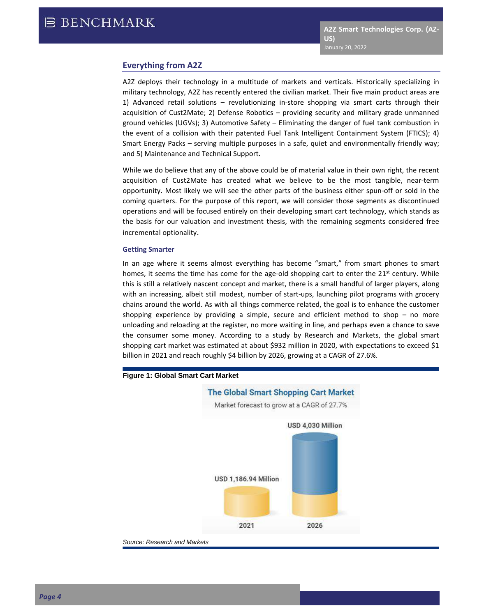### **Everything from A2Z**

A2Z deploys their technology in a multitude of markets and verticals. Historically specializing in military technology, A2Z has recently entered the civilian market. Their five main product areas are 1) Advanced retail solutions – revolutionizing in-store shopping via smart carts through their acquisition of Cust2Mate; 2) Defense Robotics – providing security and military grade unmanned ground vehicles (UGVs); 3) Automotive Safety – Eliminating the danger of fuel tank combustion in the event of a collision with their patented Fuel Tank Intelligent Containment System (FTICS); 4) Smart Energy Packs – serving multiple purposes in a safe, quiet and environmentally friendly way; and 5) Maintenance and Technical Support.

While we do believe that any of the above could be of material value in their own right, the recent acquisition of Cust2Mate has created what we believe to be the most tangible, near-term opportunity. Most likely we will see the other parts of the business either spun-off or sold in the coming quarters. For the purpose of this report, we will consider those segments as discontinued operations and will be focused entirely on their developing smart cart technology, which stands as the basis for our valuation and investment thesis, with the remaining segments considered free incremental optionality.

#### **Getting Smarter**

In an age where it seems almost everything has become "smart," from smart phones to smart homes, it seems the time has come for the age-old shopping cart to enter the  $21<sup>st</sup>$  century. While this is still a relatively nascent concept and market, there is a small handful of larger players, along with an increasing, albeit still modest, number of start-ups, launching pilot programs with grocery chains around the world. As with all things commerce related, the goal is to enhance the customer shopping experience by providing a simple, secure and efficient method to shop – no more unloading and reloading at the register, no more waiting in line, and perhaps even a chance to save the consumer some money. According to a study by Research and Markets, the global smart shopping cart market was estimated at about \$932 million in 2020, with expectations to exceed \$1 billion in 2021 and reach roughly \$4 billion by 2026, growing at a CAGR of 27.6%.



#### **Figure 1: Global Smart Cart Market**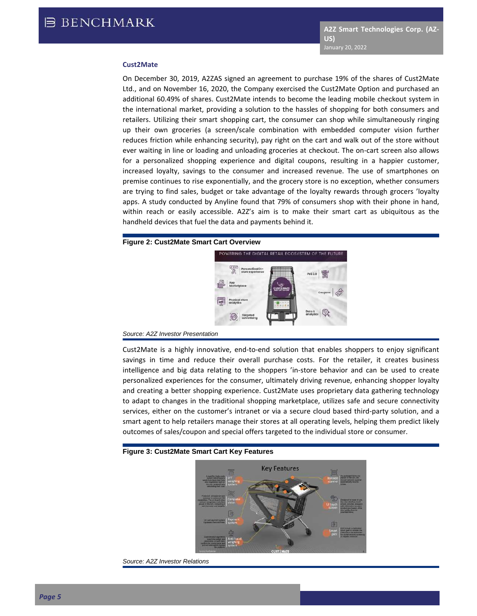#### **Cust2Mate**

On December 30, 2019, A2ZAS signed an agreement to purchase 19% of the shares of Cust2Mate Ltd., and on November 16, 2020, the Company exercised the Cust2Mate Option and purchased an additional 60.49% of shares. Cust2Mate intends to become the leading mobile checkout system in the international market, providing a solution to the hassles of shopping for both consumers and retailers. Utilizing their smart shopping cart, the consumer can shop while simultaneously ringing up their own groceries (a screen/scale combination with embedded computer vision further reduces friction while enhancing security), pay right on the cart and walk out of the store without ever waiting in line or loading and unloading groceries at checkout. The on-cart screen also allows for a personalized shopping experience and digital coupons, resulting in a happier customer, increased loyalty, savings to the consumer and increased revenue. The use of smartphones on premise continues to rise exponentially, and the grocery store is no exception, whether consumers are trying to find sales, budget or take advantage of the loyalty rewards through grocers 'loyalty apps. A study conducted by Anyline found that 79% of consumers shop with their phone in hand, within reach or easily accessible. A2Z's aim is to make their smart cart as ubiquitous as the handheld devices that fuel the data and payments behind it.

#### **Figure 2: Cust2Mate Smart Cart Overview**



#### *Source: A2Z Investor Presentation*

Cust2Mate is a highly innovative, end-to-end solution that enables shoppers to enjoy significant savings in time and reduce their overall purchase costs. For the retailer, it creates business intelligence and big data relating to the shoppers 'in-store behavior and can be used to create personalized experiences for the consumer, ultimately driving revenue, enhancing shopper loyalty and creating a better shopping experience. Cust2Mate uses proprietary data gathering technology to adapt to changes in the traditional shopping marketplace, utilizes safe and secure connectivity services, either on the customer's intranet or via a secure cloud based third-party solution, and a smart agent to help retailers manage their stores at all operating levels, helping them predict likely outcomes of sales/coupon and special offers targeted to the individual store or consumer.

#### **Figure 3: Cust2Mate Smart Cart Key Features**



*Source: A2Z Investor Relations*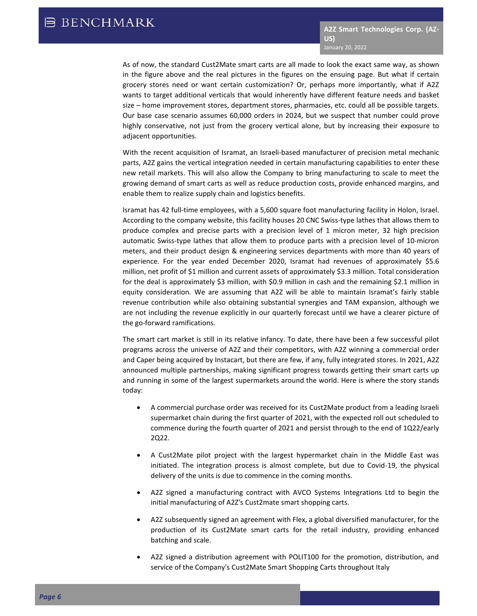As of now, the standard Cust2Mate smart carts are all made to look the exact same way, as shown in the figure above and the real pictures in the figures on the ensuing page. But what if certain grocery stores need or want certain customization? Or, perhaps more importantly, what if A2Z wants to target additional verticals that would inherently have different feature needs and basket size – home improvement stores, department stores, pharmacies, etc. could all be possible targets. Our base case scenario assumes 60,000 orders in 2024, but we suspect that number could prove highly conservative, not just from the grocery vertical alone, but by increasing their exposure to adjacent opportunities.

With the recent acquisition of Isramat, an Israeli-based manufacturer of precision metal mechanic parts, A2Z gains the vertical integration needed in certain manufacturing capabilities to enter these new retail markets. This will also allow the Company to bring manufacturing to scale to meet the growing demand of smart carts as well as reduce production costs, provide enhanced margins, and enable them to realize supply chain and logistics benefits.

Isramat has 42 full-time employees, with a 5,600 square foot manufacturing facility in Holon, Israel. According to the company website, this facility houses 20 CNC Swiss-type lathes that allows them to produce complex and precise parts with a precision level of 1 micron meter, 32 high precision automatic Swiss-type lathes that allow them to produce parts with a precision level of 10-micron meters, and their product design & engineering services departments with more than 40 years of experience. For the year ended December 2020, Isramat had revenues of approximately \$5.6 million, net profit of \$1 million and current assets of approximately \$3.3 million. Total consideration for the deal is approximately \$3 million, with \$0.9 million in cash and the remaining \$2.1 million in equity consideration. We are assuming that A2Z will be able to maintain Isramat's fairly stable revenue contribution while also obtaining substantial synergies and TAM expansion, although we are not including the revenue explicitly in our quarterly forecast until we have a clearer picture of the go-forward ramifications.

The smart cart market is still in its relative infancy. To date, there have been a few successful pilot programs across the universe of A2Z and their competitors, with A2Z winning a commercial order and Caper being acquired by Instacart, but there are few, if any, fully integrated stores. In 2021, A2Z announced multiple partnerships, making significant progress towards getting their smart carts up and running in some of the largest supermarkets around the world. Here is where the story stands today:

- A commercial purchase order was received for its Cust2Mate product from a leading Israeli supermarket chain during the first quarter of 2021, with the expected roll out scheduled to commence during the fourth quarter of 2021 and persist through to the end of 1Q22/early 2Q22.
- A Cust2Mate pilot project with the largest hypermarket chain in the Middle East was initiated. The integration process is almost complete, but due to Covid-19, the physical delivery of the units is due to commence in the coming months.
- A2Z signed a manufacturing contract with AVCO Systems Integrations Ltd to begin the initial manufacturing of A2Z's Cust2mate smart shopping carts.
- A2Z subsequently signed an agreement with Flex, a global diversified manufacturer, for the production of its Cust2Mate smart carts for the retail industry, providing enhanced batching and scale.
- A2Z signed a distribution agreement with POLIT100 for the promotion, distribution, and service of the Company's Cust2Mate Smart Shopping Carts throughout Italy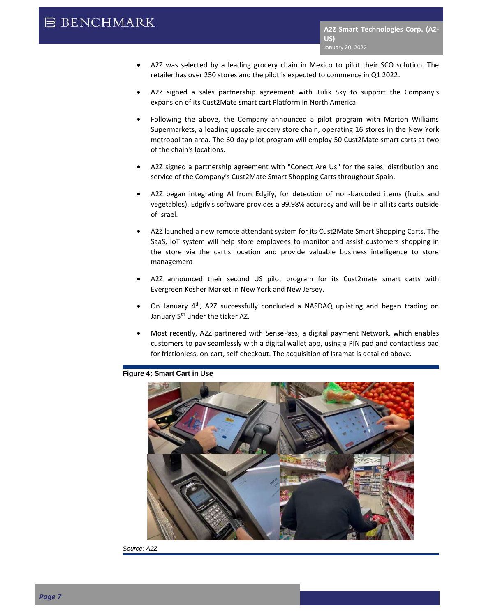## **B BENCHMARK**

- A2Z was selected by a leading grocery chain in Mexico to pilot their SCO solution. The retailer has over 250 stores and the pilot is expected to commence in Q1 2022.
- A2Z signed a sales partnership agreement with Tulik Sky to support the Company's expansion of its Cust2Mate smart cart Platform in North America.
- Following the above, the Company announced a pilot program with Morton Williams Supermarkets, a leading upscale grocery store chain, operating 16 stores in the New York metropolitan area. The 60-day pilot program will employ 50 Cust2Mate smart carts at two of the chain's locations.
- A2Z signed a partnership agreement with "Conect Are Us" for the sales, distribution and service of the Company's Cust2Mate Smart Shopping Carts throughout Spain.
- A2Z began integrating AI from Edgify, for detection of non-barcoded items (fruits and vegetables). Edgify's software provides a 99.98% accuracy and will be in all its carts outside of Israel.
- A2Z launched a new remote attendant system for its Cust2Mate Smart Shopping Carts. The SaaS, IoT system will help store employees to monitor and assist customers shopping in the store via the cart's location and provide valuable business intelligence to store management
- A2Z announced their second US pilot program for its Cust2mate smart carts with Evergreen Kosher Market in New York and New Jersey.
- On January  $4<sup>th</sup>$ , A2Z successfully concluded a NASDAQ uplisting and began trading on January 5<sup>th</sup> under the ticker AZ.
- Most recently, A2Z partnered with SensePass, a digital payment Network, which enables customers to pay seamlessly with a digital wallet app, using a PIN pad and contactless pad for frictionless, on-cart, self-checkout. The acquisition of Isramat is detailed above.

#### **Figure 4: Smart Cart in Use**



*Source: A2Z*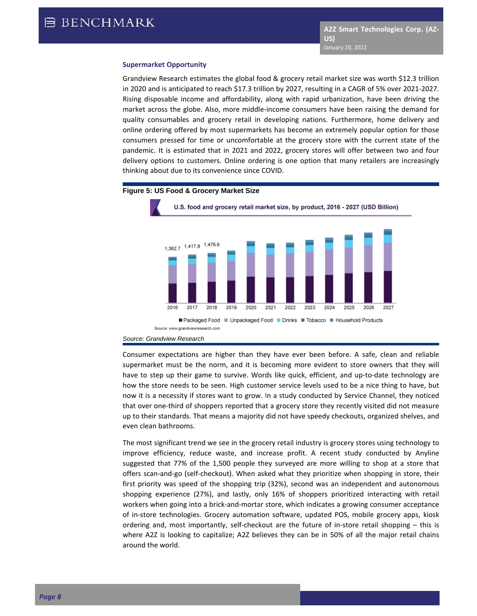#### **Supermarket Opportunity**

Grandview Research estimates the global food & grocery retail market size was worth \$12.3 trillion in 2020 and is anticipated to reach \$17.3 trillion by 2027, resulting in a CAGR of 5% over 2021-2027. Rising disposable income and affordability, along with rapid urbanization, have been driving the market across the globe. Also, more middle-income consumers have been raising the demand for quality consumables and grocery retail in developing nations. Furthermore, home delivery and online ordering offered by most supermarkets has become an extremely popular option for those consumers pressed for time or uncomfortable at the grocery store with the current state of the pandemic. It is estimated that in 2021 and 2022, grocery stores will offer between two and four delivery options to customers. Online ordering is one option that many retailers are increasingly thinking about due to its convenience since COVID.



Consumer expectations are higher than they have ever been before. A safe, clean and reliable supermarket must be the norm, and it is becoming more evident to store owners that they will have to step up their game to survive. Words like quick, efficient, and up-to-date technology are how the store needs to be seen. High customer service levels used to be a nice thing to have, but now it is a necessity if stores want to grow. In a study conducted by Service Channel, they noticed that over one-third of shoppers reported that a grocery store they recently visited did not measure up to their standards. That means a majority did not have speedy checkouts, organized shelves, and even clean bathrooms.

The most significant trend we see in the grocery retail industry is grocery stores using technology to improve efficiency, reduce waste, and increase profit. A recent study conducted by Anyline suggested that 77% of the 1,500 people they surveyed are more willing to shop at a store that offers scan-and-go (self-checkout). When asked what they prioritize when shopping in store, their first priority was speed of the shopping trip (32%), second was an independent and autonomous shopping experience (27%), and lastly, only 16% of shoppers prioritized interacting with retail workers when going into a brick-and-mortar store, which indicates a growing consumer acceptance of in-store technologies. Grocery automation software, updated POS, mobile grocery apps, kiosk ordering and, most importantly, self-checkout are the future of in-store retail shopping – this is where A2Z is looking to capitalize; A2Z believes they can be in 50% of all the major retail chains around the world.

*Source: Grandview Research*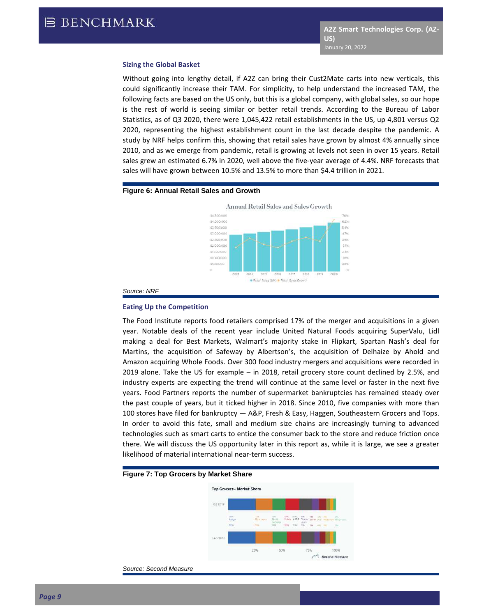#### **Sizing the Global Basket**

Without going into lengthy detail, if A2Z can bring their Cust2Mate carts into new verticals, this could significantly increase their TAM. For simplicity, to help understand the increased TAM, the following facts are based on the US only, but this is a global company, with global sales, so our hope is the rest of world is seeing similar or better retail trends. According to the Bureau of Labor Statistics, as of Q3 2020, there were 1,045,422 retail establishments in the US, up 4,801 versus Q2 2020, representing the highest establishment count in the last decade despite the pandemic. A study by NRF helps confirm this, showing that retail sales have grown by almost 4% annually since 2010, and as we emerge from pandemic, retail is growing at levels not seen in over 15 years. Retail sales grew an estimated 6.7% in 2020, well above the five-year average of 4.4%. NRF forecasts that sales will have grown between 10.5% and 13.5% to more than \$4.4 trillion in 2021.

#### **Figure 6: Annual Retail Sales and Growth**



#### *Source: NRF*

#### **Eating Up the Competition**

The Food Institute reports food retailers comprised 17% of the merger and acquisitions in a given year. Notable deals of the recent year include United Natural Foods acquiring SuperValu, Lidl making a deal for Best Markets, Walmart's majority stake in Flipkart, Spartan Nash's deal for Martins, the acquisition of Safeway by Albertson's, the acquisition of Delhaize by Ahold and Amazon acquiring Whole Foods. Over 300 food industry mergers and acquisitions were recorded in 2019 alone. Take the US for example – in 2018, retail grocery store count declined by 2.5%, and industry experts are expecting the trend will continue at the same level or faster in the next five years. Food Partners reports the number of supermarket bankruptcies has remained steady over the past couple of years, but it ticked higher in 2018. Since 2010, five companies with more than 100 stores have filed for bankruptcy — A&P, Fresh & Easy, Haggen, Southeastern Grocers and Tops. In order to avoid this fate, small and medium size chains are increasingly turning to advanced technologies such as smart carts to entice the consumer back to the store and reduce friction once there. We will discuss the US opportunity later in this report as, while it is large, we see a greater likelihood of material international near-term success.

#### **Figure 7: Top Grocers by Market Share**



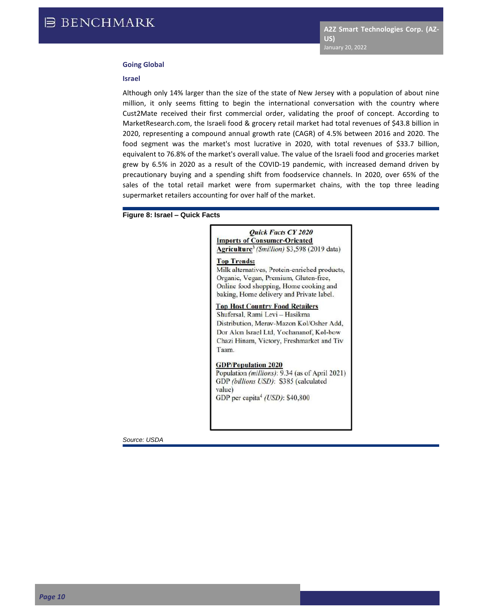#### **Going Global**

#### **Israel**

Although only 14% larger than the size of the state of New Jersey with a population of about nine million, it only seems fitting to begin the international conversation with the country where Cust2Mate received their first commercial order, validating the proof of concept. According to MarketResearch.com, the Israeli food & grocery retail market had total revenues of \$43.8 billion in 2020, representing a compound annual growth rate (CAGR) of 4.5% between 2016 and 2020. The food segment was the market's most lucrative in 2020, with total revenues of \$33.7 billion, equivalent to 76.8% of the market's overall value. The value of the Israeli food and groceries market grew by 6.5% in 2020 as a result of the COVID-19 pandemic, with increased demand driven by precautionary buying and a spending shift from foodservice channels. In 2020, over 65% of the sales of the total retail market were from supermarket chains, with the top three leading supermarket retailers accounting for over half of the market.

#### **Figure 8: Israel – Quick Facts**

#### **Ouick Facts CY 2020 Imports of Consumer-Oriented** Agriculture<sup>3</sup> (Smillion) \$3,598 (2019 data)

#### **Top Trends:**

Milk alternatives, Protein-enriched products, Organic, Vegan, Premium, Gluten-free, Online food shopping, Home cooking and baking, Home delivery and Private label.

### **Top Host Country Food Retailers**

Shufersal, Rami Levi - Hasikma Distribution, Merav-Mazon Kol/Osher Add, Dor Alon Israel Ltd, Yochananof, Kol-bow Chazi Hinam, Victory, Freshmarket and Tiv Taam.

#### **GDP/Population 2020**

Population (millions): 9.34 (as of April 2021) GDP (billions USD): \$385 (calculated value) GDP per capita<sup>4</sup> (USD): \$40,800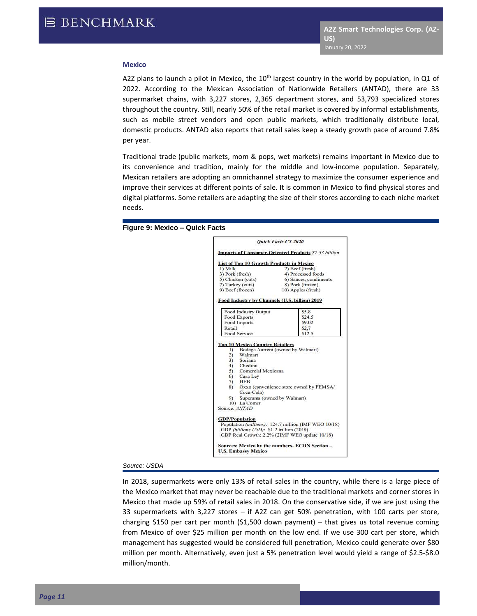#### **Mexico**

A2Z plans to launch a pilot in Mexico, the  $10<sup>th</sup>$  largest country in the world by population, in Q1 of 2022. According to the Mexican Association of Nationwide Retailers (ANTAD), there are 33 supermarket chains, with 3,227 stores, 2,365 department stores, and 53,793 specialized stores throughout the country. Still, nearly 50% of the retail market is covered by informal establishments, such as mobile street vendors and open public markets, which traditionally distribute local, domestic products. ANTAD also reports that retail sales keep a steady growth pace of around 7.8% per year.

Traditional trade (public markets, mom & pops, wet markets) remains important in Mexico due to its convenience and tradition, mainly for the middle and low-income population. Separately, Mexican retailers are adopting an omnichannel strategy to maximize the consumer experience and improve their services at different points of sale. It is common in Mexico to find physical stores and digital platforms. Some retailers are adapting the size of their stores according to each niche market needs.





#### *Source: USDA*

In 2018, supermarkets were only 13% of retail sales in the country, while there is a large piece of the Mexico market that may never be reachable due to the traditional markets and corner stores in Mexico that made up 59% of retail sales in 2018. On the conservative side, if we are just using the 33 supermarkets with 3,227 stores – if A2Z can get 50% penetration, with 100 carts per store, charging \$150 per cart per month (\$1,500 down payment) – that gives us total revenue coming from Mexico of over \$25 million per month on the low end. If we use 300 cart per store, which management has suggested would be considered full penetration, Mexico could generate over \$80 million per month. Alternatively, even just a 5% penetration level would yield a range of \$2.5-\$8.0 million/month.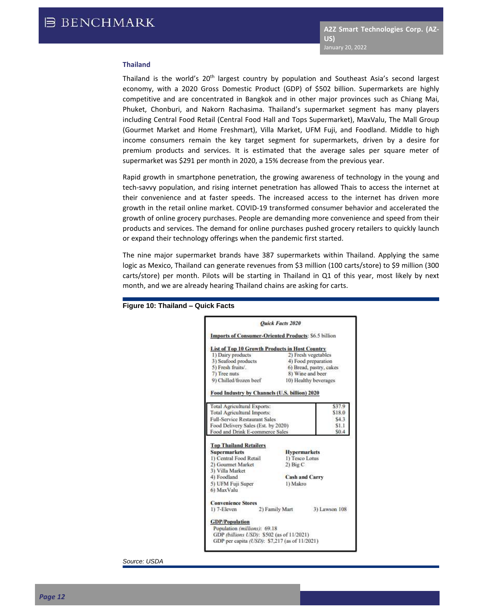#### **Thailand**

Thailand is the world's 20<sup>th</sup> largest country by population and Southeast Asia's second largest economy, with a 2020 Gross Domestic Product (GDP) of \$502 billion. Supermarkets are highly competitive and are concentrated in Bangkok and in other major provinces such as Chiang Mai, Phuket, Chonburi, and Nakorn Rachasima. Thailand's supermarket segment has many players including Central Food Retail (Central Food Hall and Tops Supermarket), MaxValu, The Mall Group (Gourmet Market and Home Freshmart), Villa Market, UFM Fuji, and Foodland. Middle to high income consumers remain the key target segment for supermarkets, driven by a desire for premium products and services. It is estimated that the average sales per square meter of supermarket was \$291 per month in 2020, a 15% decrease from the previous year.

Rapid growth in smartphone penetration, the growing awareness of technology in the young and tech-savvy population, and rising internet penetration has allowed Thais to access the internet at their convenience and at faster speeds. The increased access to the internet has driven more growth in the retail online market. COVID-19 transformed consumer behavior and accelerated the growth of online grocery purchases. People are demanding more convenience and speed from their products and services. The demand for online purchases pushed grocery retailers to quickly launch or expand their technology offerings when the pandemic first started.

The nine major supermarket brands have 387 supermarkets within Thailand. Applying the same logic as Mexico, Thailand can generate revenues from \$3 million (100 carts/store) to \$9 million (300 carts/store) per month. Pilots will be starting in Thailand in Q1 of this year, most likely by next month, and we are already hearing Thailand chains are asking for carts.



#### **Figure 10: Thailand – Quick Facts**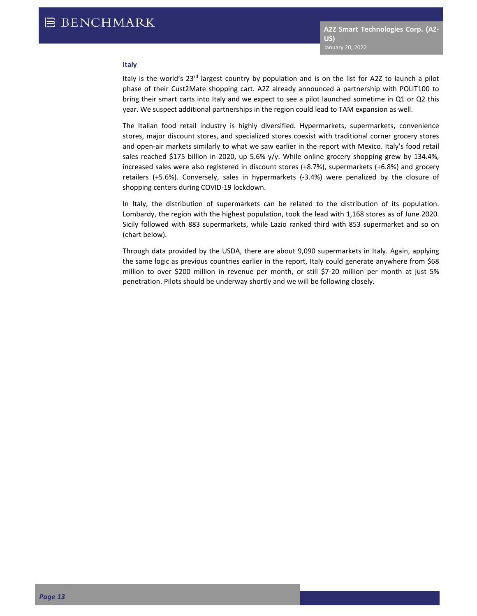#### **Italy**

Italy is the world's 23<sup>rd</sup> largest country by population and is on the list for A2Z to launch a pilot phase of their Cust2Mate shopping cart. A2Z already announced a partnership with POLIT100 to bring their smart carts into Italy and we expect to see a pilot launched sometime in Q1 or Q2 this year. We suspect additional partnerships in the region could lead to TAM expansion as well.

The Italian food retail industry is highly diversified. Hypermarkets, supermarkets, convenience stores, major discount stores, and specialized stores coexist with traditional corner grocery stores and open-air markets similarly to what we saw earlier in the report with Mexico. Italy's food retail sales reached \$175 billion in 2020, up 5.6% y/y. While online grocery shopping grew by 134.4%, increased sales were also registered in discount stores (+8.7%), supermarkets (+6.8%) and grocery retailers (+5.6%). Conversely, sales in hypermarkets (-3.4%) were penalized by the closure of shopping centers during COVID-19 lockdown.

In Italy, the distribution of supermarkets can be related to the distribution of its population. Lombardy, the region with the highest population, took the lead with 1,168 stores as of June 2020. Sicily followed with 883 supermarkets, while Lazio ranked third with 853 supermarket and so on (chart below).

Through data provided by the USDA, there are about 9,090 supermarkets in Italy. Again, applying the same logic as previous countries earlier in the report, Italy could generate anywhere from \$68 million to over \$200 million in revenue per month, or still \$7-20 million per month at just 5% penetration. Pilots should be underway shortly and we will be following closely.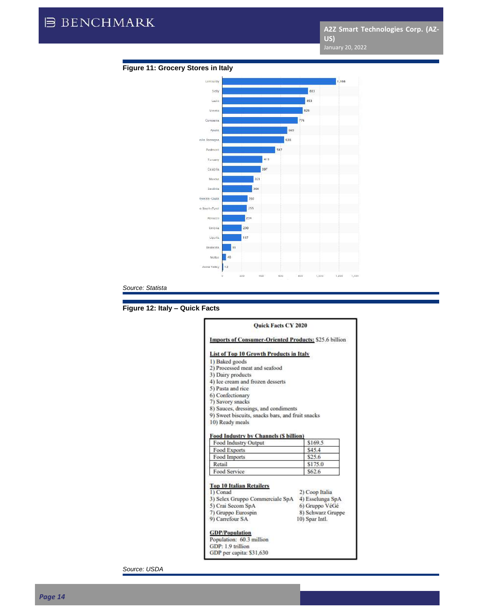

#### **Figure 11: Grocery Stores in Italy**

*Source: Statista*

#### **Figure 12: Italy – Quick Facts**

#### Quick Facts CY 2020 **Imports of Consumer-Oriented Products: \$25.6 billion List of Top 10 Growth Products in Italy** 1) Baked goods 2) Processed meat and seafood 3) Dairy products 4) Ice cream and frozen desserts 5) Pasta and rice 6) Confectionary 7) Savory snacks 8) Sauces, dressings, and condiments 9) Sweet biscuits, snacks bars, and fruit snacks 10) Ready meals Food Industry by Channels (S billion) \$169.5 Food Industry Output Food Exports \$45.4 \$25.6 Food Imports Retail \$175.0 Food Service \$62.6 **Top 10 Italian Retailers** 1) Conad 2) Coop Italia 3) Selex Gruppo Commerciale SpA 4) Esselunga SpA 5) Crai Secom SpA 6) Gruppo VéGé 7) Gruppo Eurospin 8) Schwarz Gruppe 9) Carrefour SA 10) Spar Intl. **GDP/Population** Population: 60.3 million GDP: 1.9 trillion GDP per capita: \$31,630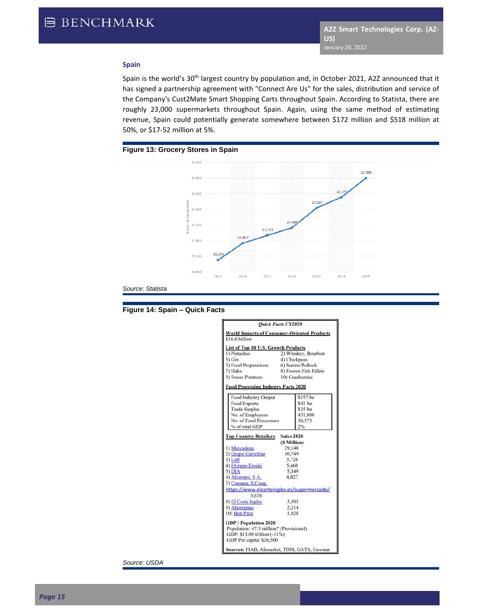#### **Spain**

Spain is the world's 30<sup>th</sup> largest country by population and, in October 2021, A2Z announced that it has signed a partnership agreement with "Connect Are Us" for the sales, distribution and service of the Company's Cust2Mate Smart Shopping Carts throughout Spain. According to Statista, there are roughly 23,000 supermarkets throughout Spain. Again, using the same method of estimating revenue, Spain could potentially generate somewhere between \$172 million and \$518 million at 50%, or \$17-52 million at 5%.



*Source: Statista*



|                                                                                                                                     | <b>Ouick Facts CY2020</b> |  |
|-------------------------------------------------------------------------------------------------------------------------------------|---------------------------|--|
| <b>World Imports of Consumer-Oriented Products</b><br>\$16.6 billion                                                                |                           |  |
| <b>List of Top 10 U.S. Growth Products</b>                                                                                          |                           |  |
| 1) Pistachio                                                                                                                        | 2) Whiskey, Bourbon       |  |
| $3)$ Gin                                                                                                                            | 4) Chickpeas              |  |
| 5) Food Preparations                                                                                                                | 6) Surimi/Pollock         |  |
| 7) Hake                                                                                                                             | 8) Frozen Fish Fillets    |  |
| 9) Sweet Potatoes                                                                                                                   | 10) Cranberries           |  |
| <b>Food Processing Industry Facts 2020</b>                                                                                          |                           |  |
| Food Industry Output                                                                                                                | \$157 bn                  |  |
| Food Exports                                                                                                                        | \$41 bn                   |  |
| <b>Trade Surplus</b>                                                                                                                | $$15$ bn                  |  |
| No. of Employees                                                                                                                    | 431,800                   |  |
| No. of Food Processors                                                                                                              | 30,573                    |  |
| % of total GDP                                                                                                                      | 2%                        |  |
| <b>Top Country Retailers</b>                                                                                                        | <b>Sales 2020</b>         |  |
|                                                                                                                                     | (S Million)               |  |
| 1) Mercadona                                                                                                                        | 29,140                    |  |
| 2) Grupo Carrefour                                                                                                                  | 10,749                    |  |
| 3) Lidl                                                                                                                             | 5,726                     |  |
| 4) EGrupo Eroski                                                                                                                    | 5,460                     |  |
| $5)$ DIA                                                                                                                            | 5.349                     |  |
| 6) Alcampo, S A.<br>7) Consum, S.Coop.                                                                                              | 4.027                     |  |
| https://www.elcorteingles.es/supermercado/<br>3.678                                                                                 |                           |  |
| 8) El Corte Ingles                                                                                                                  | 3.303                     |  |
| 9) Ahorramas                                                                                                                        | 2.214                     |  |
| 10) Bon Preu                                                                                                                        | 1.928                     |  |
| <b>GDP</b> / Population 2020<br>Population: 47.3 million* (Provisional)<br>GDP: \$13,08 trillion (-11%)<br>GDP Per capita: \$26,500 |                           |  |
| Sources: FIAB, Alimarket, TDM, GATS, Eurostat                                                                                       |                           |  |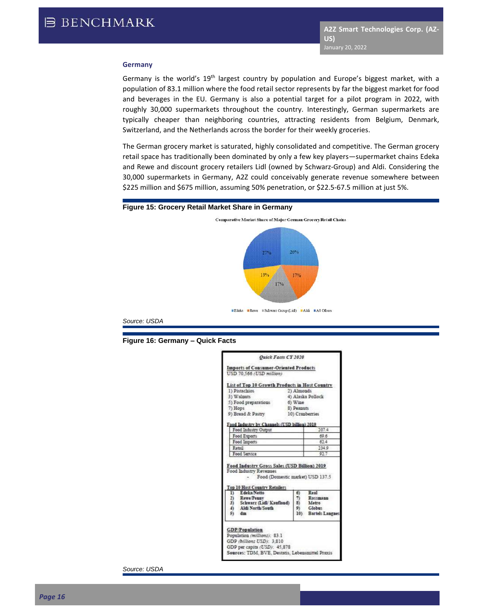#### **Germany**

Germany is the world's  $19<sup>th</sup>$  largest country by population and Europe's biggest market, with a population of 83.1 million where the food retail sector represents by far the biggest market for food and beverages in the EU. Germany is also a potential target for a pilot program in 2022, with roughly 30,000 supermarkets throughout the country. Interestingly, German supermarkets are typically cheaper than neighboring countries, attracting residents from Belgium, Denmark, Switzerland, and the Netherlands across the border for their weekly groceries.

The German grocery market is saturated, highly consolidated and competitive. The German grocery retail space has traditionally been dominated by only a few key players—supermarket chains Edeka and Rewe and discount grocery retailers Lidl (owned by Schwarz-Group) and Aldi. Considering the 30,000 supermarkets in Germany, A2Z could conceivably generate revenue somewhere between \$225 million and \$675 million, assuming 50% penetration, or \$22.5-67.5 million at just 5%.

#### **Figure 15: Grocery Retail Market Share in Germany**



**SEdeka ERewe ESchwarz Orcup (Lick) EARS EAR Others** 

*Source: USDA*



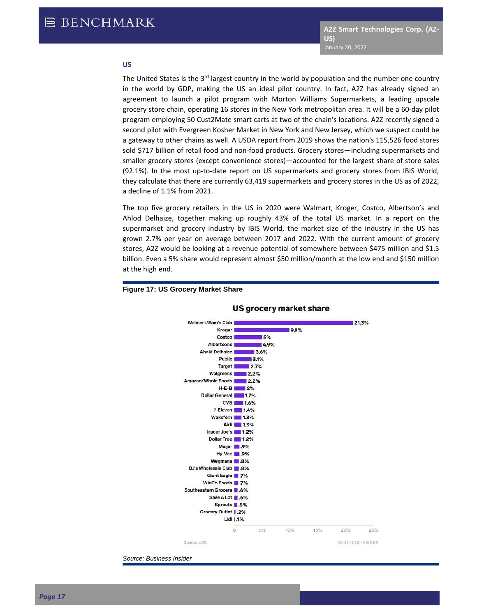#### **US**

The United States is the 3<sup>rd</sup> largest country in the world by population and the number one country in the world by GDP, making the US an ideal pilot country. In fact, A2Z has already signed an agreement to launch a pilot program with Morton Williams Supermarkets, a leading upscale grocery store chain, operating 16 stores in the New York metropolitan area. It will be a 60-day pilot program employing 50 Cust2Mate smart carts at two of the chain's locations. A2Z recently signed a second pilot with Evergreen Kosher Market in New York and New Jersey, which we suspect could be a gateway to other chains as well. A USDA report from 2019 shows the nation's 115,526 food stores sold \$717 billion of retail food and non-food products. Grocery stores—including supermarkets and smaller grocery stores (except convenience stores)—accounted for the largest share of store sales (92.1%). In the most up-to-date report on US supermarkets and grocery stores from IBIS World, they calculate that there are currently 63,419 supermarkets and grocery stores in the US as of 2022, a decline of 1.1% from 2021.

The top five grocery retailers in the US in 2020 were Walmart, Kroger, Costco, Albertson's and Ahlod Delhaize, together making up roughly 43% of the total US market. In a report on the supermarket and grocery industry by IBIS World, the market size of the industry in the US has grown 2.7% per year on average between 2017 and 2022. With the current amount of grocery stores, A2Z would be looking at a revenue potential of somewhere between \$475 million and \$1.5 billion. Even a 5% share would represent almost \$50 million/month at the low end and \$150 million at the high end.



#### **Figure 17: US Grocery Market Share**

*Source: Business Insider*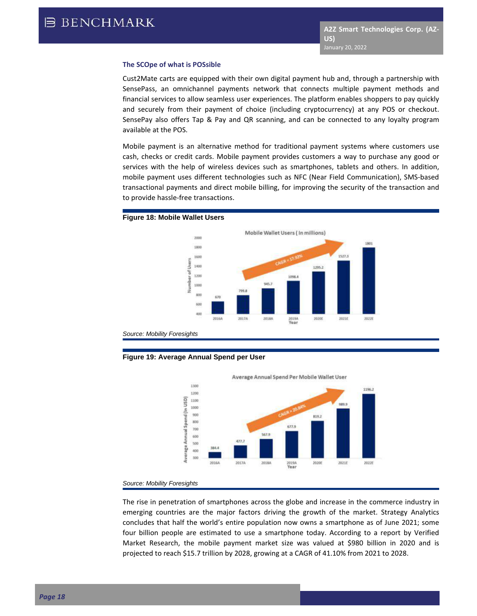#### **The SCOpe of what is POSsible**

Cust2Mate carts are equipped with their own digital payment hub and, through a partnership with SensePass, an omnichannel payments network that connects multiple payment methods and financial services to allow seamless user experiences. The platform enables shoppers to pay quickly and securely from their payment of choice (including cryptocurrency) at any POS or checkout. SensePay also offers Tap & Pay and QR scanning, and can be connected to any loyalty program available at the POS.

Mobile payment is an alternative method for traditional payment systems where customers use cash, checks or credit cards. Mobile payment provides customers a way to purchase any good or services with the help of wireless devices such as smartphones, tablets and others. In addition, mobile payment uses different technologies such as NFC (Near Field Communication), SMS-based transactional payments and direct mobile billing, for improving the security of the transaction and to provide hassle-free transactions.

#### **Figure 18: Mobile Wallet Users**



*Source: Mobility Foresights*





*Source: Mobility Foresights*

The rise in penetration of smartphones across the globe and increase in the commerce industry in emerging countries are the major factors driving the growth of the market. Strategy Analytics concludes that half the world's entire population now owns a smartphone as of June 2021; some four billion people are estimated to use a smartphone today. According to a report by Verified Market Research, the mobile payment market size was valued at \$980 billion in 2020 and is projected to reach \$15.7 trillion by 2028, growing at a CAGR of 41.10% from 2021 to 2028.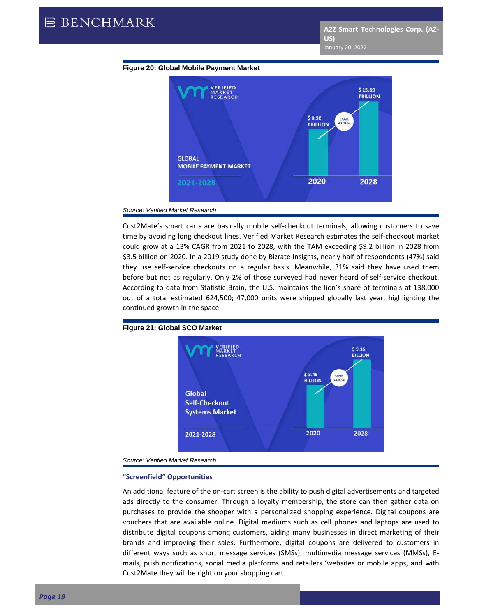



*Source: Verified Market Research*

Cust2Mate's smart carts are basically mobile self-checkout terminals, allowing customers to save time by avoiding long checkout lines. Verified Market Research estimates the self-checkout market could grow at a 13% CAGR from 2021 to 2028, with the TAM exceeding \$9.2 billion in 2028 from \$3.5 billion on 2020. In a 2019 study done by Bizrate Insights, nearly half of respondents (47%) said they use self-service checkouts on a regular basis. Meanwhile, 31% said they have used them before but not as regularly. Only 2% of those surveyed had never heard of self-service checkout. According to data from Statistic Brain, the U.S. maintains the lion's share of terminals at 138,000 out of a total estimated 624,500; 47,000 units were shipped globally last year, highlighting the continued growth in the space.



**Figure 21: Global SCO Market**

*Source: Verified Market Research*

#### **"Screenfield" Opportunities**

An additional feature of the on-cart screen is the ability to push digital advertisements and targeted ads directly to the consumer. Through a loyalty membership, the store can then gather data on purchases to provide the shopper with a personalized shopping experience. Digital coupons are vouchers that are available online. Digital mediums such as cell phones and laptops are used to distribute digital coupons among customers, aiding many businesses in direct marketing of their brands and improving their sales. Furthermore, digital coupons are delivered to customers in different ways such as short message services (SMSs), multimedia message services (MMSs), Emails, push notifications, social media platforms and retailers 'websites or mobile apps, and with Cust2Mate they will be right on your shopping cart.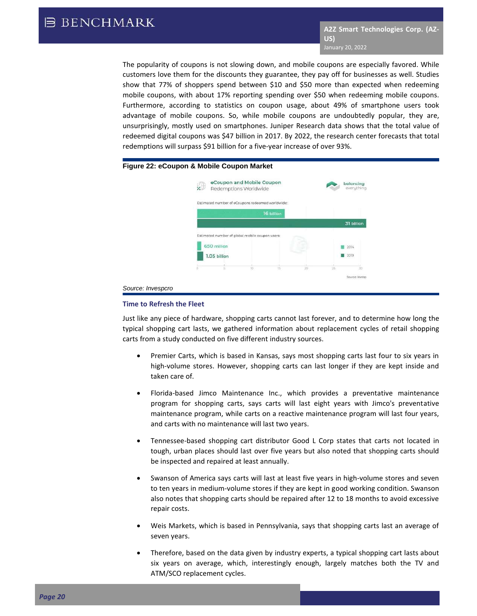The popularity of coupons is not slowing down, and mobile coupons are especially favored. While customers love them for the discounts they guarantee, they pay off for businesses as well. Studies show that 77% of shoppers spend between \$10 and \$50 more than expected when redeeming mobile coupons, with about 17% reporting spending over \$50 when redeeming mobile coupons. Furthermore, according to statistics on coupon usage, about 49% of smartphone users took advantage of mobile coupons. So, while mobile coupons are undoubtedly popular, they are, unsurprisingly, mostly used on smartphones. Juniper Research data shows that the total value of redeemed digital coupons was \$47 billion in 2017. By 2022, the research center forecasts that total redemptions will surpass \$91 billion for a five-year increase of over 93%.

#### **Figure 22: eCoupon & Mobile Coupon Market**

| $\frac{1}{2}$ | eCoupon and Mobile Coupon<br>Redemptions Worldwide |    |        | balancing<br>everything |
|---------------|----------------------------------------------------|----|--------|-------------------------|
|               |                                                    |    |        |                         |
|               | Estimated number of eCoupons redeemed worldwide:   |    |        |                         |
|               | T6 billion                                         |    |        |                         |
|               |                                                    |    |        | 31 billion              |
|               |                                                    |    |        |                         |
|               |                                                    |    |        |                         |
|               | Estimated number of global mobile coupon users:    |    |        |                         |
| 650 million   |                                                    |    |        | 2014                    |
| 1.05 billion  |                                                    |    |        | 2019                    |
| ö<br>÷        | $10^{12}$<br>YS.                                   | 30 | $25 -$ | 30                      |

#### *Source: Invespcro*

#### **Time to Refresh the Fleet**

Just like any piece of hardware, shopping carts cannot last forever, and to determine how long the typical shopping cart lasts, we gathered information about replacement cycles of retail shopping carts from a study conducted on five different industry sources.

- Premier Carts, which is based in Kansas, says most shopping carts last four to six years in high-volume stores. However, shopping carts can last longer if they are kept inside and taken care of.
- Florida-based Jimco Maintenance Inc., which provides a preventative maintenance program for shopping carts, says carts will last eight years with Jimco's preventative maintenance program, while carts on a reactive maintenance program will last four years, and carts with no maintenance will last two years.
- Tennessee-based shopping cart distributor Good L Corp states that carts not located in tough, urban places should last over five years but also noted that shopping carts should be inspected and repaired at least annually.
- Swanson of America says carts will last at least five years in high-volume stores and seven to ten years in medium-volume stores if they are kept in good working condition. Swanson also notes that shopping carts should be repaired after 12 to 18 months to avoid excessive repair costs.
- Weis Markets, which is based in Pennsylvania, says that shopping carts last an average of seven years.
- Therefore, based on the data given by industry experts, a typical shopping cart lasts about six years on average, which, interestingly enough, largely matches both the TV and ATM/SCO replacement cycles.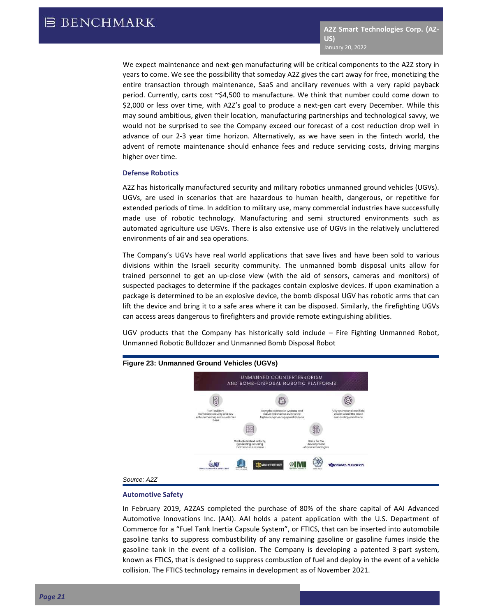We expect maintenance and next-gen manufacturing will be critical components to the A2Z story in years to come. We see the possibility that someday A2Z gives the cart away for free, monetizing the entire transaction through maintenance, SaaS and ancillary revenues with a very rapid payback period. Currently, carts cost ~\$4,500 to manufacture. We think that number could come down to \$2,000 or less over time, with A2Z's goal to produce a next-gen cart every December. While this may sound ambitious, given their location, manufacturing partnerships and technological savvy, we would not be surprised to see the Company exceed our forecast of a cost reduction drop well in advance of our 2-3 year time horizon. Alternatively, as we have seen in the fintech world, the advent of remote maintenance should enhance fees and reduce servicing costs, driving margins higher over time.

#### **Defense Robotics**

A2Z has historically manufactured security and military robotics unmanned ground vehicles (UGVs). UGVs, are used in scenarios that are hazardous to human health, dangerous, or repetitive for extended periods of time. In addition to military use, many commercial industries have successfully made use of robotic technology. Manufacturing and semi structured environments such as automated agriculture use UGVs. There is also extensive use of UGVs in the relatively uncluttered environments of air and sea operations.

The Company's UGVs have real world applications that save lives and have been sold to various divisions within the Israeli security community. The unmanned bomb disposal units allow for trained personnel to get an up-close view (with the aid of sensors, cameras and monitors) of suspected packages to determine if the packages contain explosive devices. If upon examination a package is determined to be an explosive device, the bomb disposal UGV has robotic arms that can lift the device and bring it to a safe area where it can be disposed. Similarly, the firefighting UGVs can access areas dangerous to firefighters and provide remote extinguishing abilities.

UGV products that the Company has historically sold include – Fire Fighting Unmanned Robot, Unmanned Robotic Bulldozer and Unmanned Bomb Disposal Robot



#### **Figure 23: Unmanned Ground Vehicles (UGVs)**

#### **Automotive Safety**

In February 2019, A2ZAS completed the purchase of 80% of the share capital of AAI Advanced Automotive Innovations Inc. (AAI). AAI holds a patent application with the U.S. Department of Commerce for a "Fuel Tank Inertia Capsule System", or FTICS, that can be inserted into automobile gasoline tanks to suppress combustibility of any remaining gasoline or gasoline fumes inside the gasoline tank in the event of a collision. The Company is developing a patented 3-part system, known as FTICS, that is designed to suppress combustion of fuel and deploy in the event of a vehicle collision. The FTICS technology remains in development as of November 2021.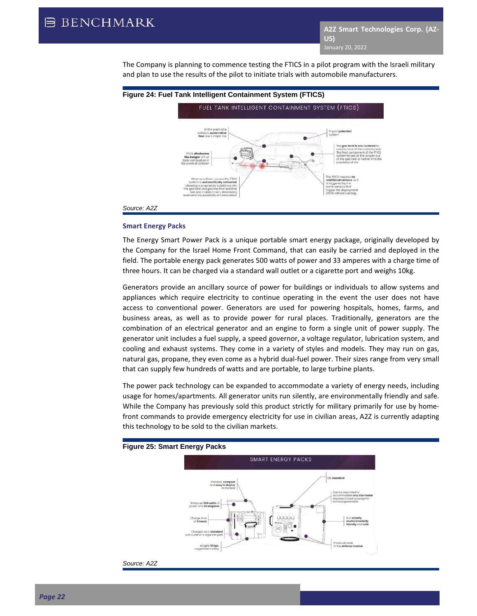The Company is planning to commence testing the FTICS in a pilot program with the Israeli military and plan to use the results of the pilot to initiate trials with automobile manufacturers.



## **Smart Energy Packs**

The Energy Smart Power Pack is a unique portable smart energy package, originally developed by the Company for the Israel Home Front Command, that can easily be carried and deployed in the field. The portable energy pack generates 500 watts of power and 33 amperes with a charge time of three hours. It can be charged via a standard wall outlet or a cigarette port and weighs 10kg.

Generators provide an ancillary source of power for buildings or individuals to allow systems and appliances which require electricity to continue operating in the event the user does not have access to conventional power. Generators are used for powering hospitals, homes, farms, and business areas, as well as to provide power for rural places. Traditionally, generators are the combination of an electrical generator and an engine to form a single unit of power supply. The generator unit includes a fuel supply, a speed governor, a voltage regulator, lubrication system, and cooling and exhaust systems. They come in a variety of styles and models. They may run on gas, natural gas, propane, they even come as a hybrid dual-fuel power. Their sizes range from very small that can supply few hundreds of watts and are portable, to large turbine plants.

The power pack technology can be expanded to accommodate a variety of energy needs, including usage for homes/apartments. All generator units run silently, are environmentally friendly and safe. While the Company has previously sold this product strictly for military primarily for use by homefront commands to provide emergency electricity for use in civilian areas, A2Z is currently adapting this technology to be sold to the civilian markets.



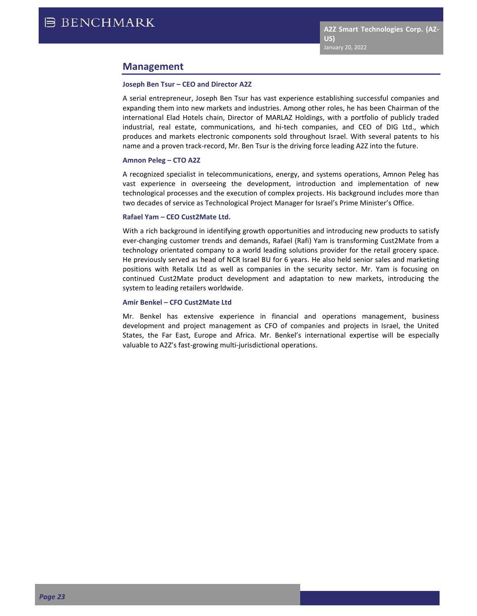## **Management**

#### **Joseph Ben Tsur – CEO and Director A2Z**

A serial entrepreneur, Joseph Ben Tsur has vast experience establishing successful companies and expanding them into new markets and industries. Among other roles, he has been Chairman of the international Elad Hotels chain, Director of MARLAZ Holdings, with a portfolio of publicly traded industrial, real estate, communications, and hi-tech companies, and CEO of DIG Ltd., which produces and markets electronic components sold throughout Israel. With several patents to his name and a proven track-record, Mr. Ben Tsur is the driving force leading A2Z into the future.

#### **Amnon Peleg – CTO A2Z**

A recognized specialist in telecommunications, energy, and systems operations, Amnon Peleg has vast experience in overseeing the development, introduction and implementation of new technological processes and the execution of complex projects. His background includes more than two decades of service as Technological Project Manager for Israel's Prime Minister's Office.

#### **Rafael Yam – CEO Cust2Mate Ltd.**

With a rich background in identifying growth opportunities and introducing new products to satisfy ever-changing customer trends and demands, Rafael (Rafi) Yam is transforming Cust2Mate from a technology orientated company to a world leading solutions provider for the retail grocery space. He previously served as head of NCR Israel BU for 6 years. He also held senior sales and marketing positions with Retalix Ltd as well as companies in the security sector. Mr. Yam is focusing on continued Cust2Mate product development and adaptation to new markets, introducing the system to leading retailers worldwide.

#### **Amir Benkel – CFO Cust2Mate Ltd**

Mr. Benkel has extensive experience in financial and operations management, business development and project management as CFO of companies and projects in Israel, the United States, the Far East, Europe and Africa. Mr. Benkel's international expertise will be especially valuable to A2Z's fast-growing multi-jurisdictional operations.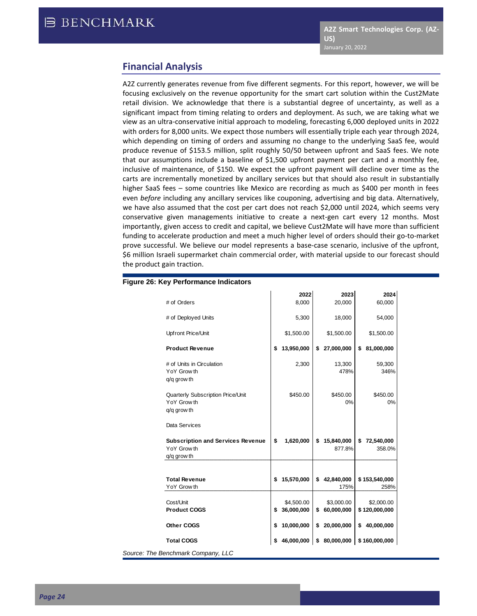## **Financial Analysis**

A2Z currently generates revenue from five different segments. For this report, however, we will be focusing exclusively on the revenue opportunity for the smart cart solution within the Cust2Mate retail division. We acknowledge that there is a substantial degree of uncertainty, as well as a significant impact from timing relating to orders and deployment. As such, we are taking what we view as an ultra-conservative initial approach to modeling, forecasting 6,000 deployed units in 2022 with orders for 8,000 units. We expect those numbers will essentially triple each year through 2024, which depending on timing of orders and assuming no change to the underlying SaaS fee, would produce revenue of \$153.5 million, split roughly 50/50 between upfront and SaaS fees. We note that our assumptions include a baseline of \$1,500 upfront payment per cart and a monthly fee, inclusive of maintenance, of \$150. We expect the upfront payment will decline over time as the carts are incrementally monetized by ancillary services but that should also result in substantially higher SaaS fees – some countries like Mexico are recording as much as \$400 per month in fees even *before* including any ancillary services like couponing, advertising and big data. Alternatively, we have also assumed that the cost per cart does not reach \$2,000 until 2024, which seems very conservative given managements initiative to create a next-gen cart every 12 months. Most importantly, given access to credit and capital, we believe Cust2Mate will have more than sufficient funding to accelerate production and meet a much higher level of orders should their go-to-market prove successful. We believe our model represents a base-case scenario, inclusive of the upfront, \$6 million Israeli supermarket chain commercial order, with material upside to our forecast should the product gain traction.

| # of Orders                                                            | 2022<br>8,000                  | 2023<br>20,000                 | 2024<br>60,000              |
|------------------------------------------------------------------------|--------------------------------|--------------------------------|-----------------------------|
| # of Deployed Units                                                    | 5,300                          | 18,000                         | 54,000                      |
| Upfront Price/Unit                                                     | \$1,500.00                     | \$1,500.00                     | \$1,500.00                  |
| <b>Product Revenue</b>                                                 | \$<br>13,950,000               | \$<br>27,000,000               | \$<br>81,000,000            |
| # of Units in Circulation<br>YoY Grow th<br>q/q grow th                | 2,300                          | 13,300<br>478%                 | 59,300<br>346%              |
| Quarterly Subscription Price/Unit<br>YoY Grow th<br>q/q grow th        | \$450.00                       | \$450.00<br>0%                 | \$450.00<br>0%              |
| Data Services                                                          |                                |                                |                             |
| <b>Subscription and Services Revenue</b><br>YoY Grow th<br>q/q grow th | \$<br>1,620,000                | \$<br>15,840,000<br>877.8%     | \$<br>72,540,000<br>358.0%  |
| <b>Total Revenue</b><br>YoY Grow th                                    | \$<br>15,570,000               | \$<br>42,840,000<br>175%       | \$153,540,000<br>258%       |
| Cost/Unit<br><b>Product COGS</b>                                       | \$<br>\$4,500.00<br>36,000,000 | \$<br>\$3,000.00<br>60,000,000 | \$2,000.00<br>\$120,000,000 |
| Other COGS                                                             | \$<br>10,000,000               | \$<br>20,000,000               | \$<br>40,000,000            |
|                                                                        |                                |                                |                             |
| <b>Total COGS</b>                                                      | 46,000,000                     | \$<br>80,000,000               | \$160,000,000               |

#### **Figure 26: Key Performance Indicators**

 $Source: The$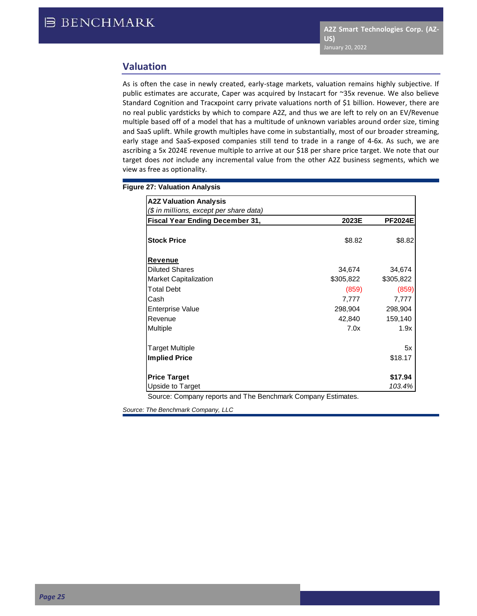## **Valuation**

As is often the case in newly created, early-stage markets, valuation remains highly subjective. If public estimates are accurate, Caper was acquired by Instacart for ~35x revenue. We also believe Standard Cognition and Tracxpoint carry private valuations north of \$1 billion. However, there are no real public yardsticks by which to compare A2Z, and thus we are left to rely on an EV/Revenue multiple based off of a model that has a multitude of unknown variables around order size, timing and SaaS uplift. While growth multiples have come in substantially, most of our broader streaming, early stage and SaaS-exposed companies still tend to trade in a range of 4-6x. As such, we are ascribing a 5x 2024E revenue multiple to arrive at our \$18 per share price target. We note that our target does *not* include any incremental value from the other A2Z business segments, which we view as free as optionality.

#### **Figure 27: Valuation Analysis**

| <b>A2Z Valuation Analysis</b>           |           |                |
|-----------------------------------------|-----------|----------------|
| (\$ in millions, except per share data) |           |                |
| Fiscal Year Ending December 31,         | 2023E     | <b>PF2024E</b> |
|                                         |           |                |
| <b>Stock Price</b>                      | \$8.82    | \$8.82         |
| Revenue                                 |           |                |
| <b>Diluted Shares</b>                   | 34,674    | 34,674         |
| <b>Market Capitalization</b>            | \$305,822 | \$305,822      |
| <b>Total Debt</b>                       | (859)     | (859)          |
| Cash                                    | 7,777     | 7,777          |
| <b>Enterprise Value</b>                 | 298,904   | 298,904        |
| Revenue                                 | 42,840    | 159,140        |
| Multiple                                | 7.0x      | 1.9x           |
| <b>Target Multiple</b>                  |           | 5x             |
| <b>Implied Price</b>                    |           | \$18.17        |
| <b>Price Target</b>                     |           | \$17.94        |
| Upside to Target                        |           | 103.4%         |

Source: Company reports and The Benchmark Company Estimates.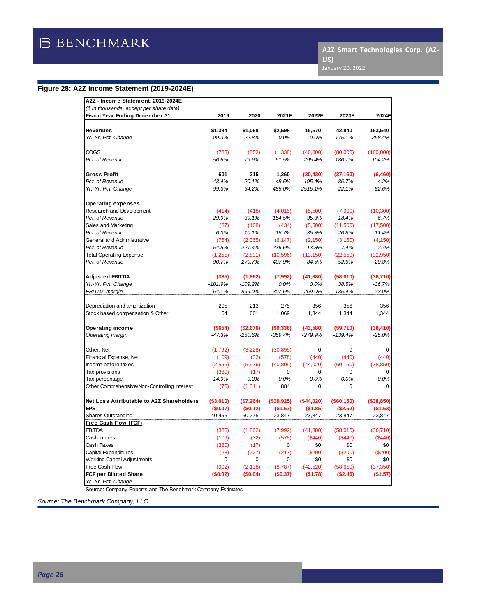## **Figure 28: A2Z Income Statement (2019-2024E)**

| (\$ in thousands, except per share data)     | 2019       | 2020      |            | 2022E       | 2023E        |            |
|----------------------------------------------|------------|-----------|------------|-------------|--------------|------------|
| Fiscal Year Ending December 31,              |            |           | 2021E      |             |              | 2024E      |
| <b>Revenues</b>                              | \$1,384    | \$1,068   | \$2,598    | 15,570      | 42,840       | 153,540    |
| Yr.-Yr. Pct. Change                          | $-99.3%$   | $-22.8%$  | 0.0%       | 0.0%        | 175.1%       | 258.4%     |
| COGS                                         | (783)      | (853)     | (1, 338)   | (46,000)    | (80,000)     | (160,000)  |
| Pct. of Revenue                              | 56.6%      | 79.9%     | 51.5%      | 295.4%      | 186.7%       | 104.2%     |
| <b>Gross Profit</b>                          | 601        | 215       | 1,260      | (30, 430)   | (37, 160)    | (6,460)    |
| Pct. of Revenue                              | 43.4%      | 20.1%     | 48.5%      | $-195.4%$   | $-86.7%$     | $-4.2%$    |
| Yr.-Yr. Pct. Change                          | $-99.3%$   | $-64.2%$  | 486.0%     | $-2515.1%$  | 22.1%        | $-82.6%$   |
| <b>Operating expenses</b>                    |            |           |            |             |              |            |
| Research and Development                     | (414)      | (418)     | (4,015)    | (5,500)     | (7,900)      | (10, 300)  |
| Pct. of Revenue                              | 29.9%      | 39.1%     | 154.5%     | 35.3%       | 18.4%        | 6.7%       |
| Sales and Marketing                          | (87)       | (108)     | (434)      | (5,500)     | (11,500)     | (17,500)   |
| Pct. of Revenue                              | 6.3%       | 10.1%     | 16.7%      | 35.3%       | 26.8%        | 11.4%      |
| General and Administrative                   | (754)      | (2,365)   | (6, 147)   | (2, 150)    | (3, 150)     | (4, 150)   |
| Pct. of Revenue                              | 54.5%      | 221.4%    | 236.6%     | 13.8%       | 7.4%         | 2.7%       |
| <b>Total Operating Expense</b>               | (1,255)    | (2,891)   | (10, 596)  | (13, 150)   | (22, 550)    | (31,950)   |
| Pct. of Revenue                              | 90.7%      | 270.7%    | 407.9%     | 84.5%       | 52.6%        | 20.8%      |
| <b>Adjusted EBITDA</b>                       | (385)      | (1,862)   | (7,992)    | (41, 880)   | (58,010)     | (36, 710)  |
| Yr.-Yr. Pct. Change                          | $-101.9%$  | $-109.2%$ | 0.0%       | 0.0%        | 38.5%        | $-36.7%$   |
| EBITDA margin                                | $-64.1%$   | -866.0%   | $-307.6%$  | $-269.0%$   | $-135.4%$    | $-23.9%$   |
| Depreciation and amortization                | 205        | 213       | 275        | 356         | 356          | 356        |
| Stock based compensation & Other             | 64         | 601       | 1,069      | 1,344       | 1,344        | 1,344      |
| Operating income                             | $($ \$654) | (\$2,676) | (\$9,336)  | (43,580)    | (59,710)     | (38, 410)  |
| Operating margin                             | $-47.3%$   | $-250.6%$ | $-359.4%$  | $-279.9%$   | $-139.4%$    | $-25.0%$   |
| Other, Net                                   | (1,792)    | (3,228)   | (30, 895)  | $\mathbf 0$ | $\mathbf 0$  | 0          |
| Financial Expense, Net                       | (109)      | (32)      | (578)      | (440)       | (440)        | (440)      |
| Income before taxes                          | (2, 555)   | (5,936)   | (40, 809)  | (44,020)    | (60, 150)    | (38, 850)  |
| Tax provisions                               | (380)      | (17)      | 0          | 0           | 0            | 0          |
| Tax percentage                               | $-14.9%$   | $-0.3%$   | 0.0%       | 0.0%        | 0.0%         | 0.0%       |
| Other Comprehensive/Non-Controlling Interest | (75)       | (1, 311)  | 884        | $\mathbf 0$ | 0            | $\Omega$   |
| Net Loss Attributable to A2Z Shareholders    | ( \$3,010) | (\$7,264) | (\$39,925) | (\$44,020)  | ( \$60, 150) | (\$38,850) |
| <b>EPS</b>                                   | (\$0.07)   | (\$0.12)  | (\$1.67)   | (\$1.85)    | (\$2.52)     | (\$1.63)   |
| <b>Shares Outstanding</b>                    | 40,455     | 50,275    | 23,847     | 23,847      | 23,847       | 23,847     |
| Free Cash Flow (FCF)                         |            |           |            |             |              |            |
| <b>EBITDA</b>                                | (385)      | (1,862)   | (7,992)    | (41, 880)   | (58,010)     | (36,710)   |
| Cash Interest                                | (109)      | (32)      | (578)      | (\$440)     | (S440)       | (\$440)    |
| Cash Taxes                                   | (380)      | (17)      | 0          | \$0         | \$0          | \$0        |
| <b>Capital Expenditures</b>                  | (28)       | (227)     | (217)      | (\$200)     | (\$200)      | (\$200)    |
| <b>Working Capital Adjustments</b>           | 0          | 0         | 0          | \$0         | \$0          | \$0        |
| Free Cash Flow                               | (902)      | (2, 138)  | (8,787)    | (42, 520)   | (58, 650)    | (37, 350)  |
| <b>FCF per Diluted Share</b>                 | (\$0.02)   | (\$0.04)  | (\$0.37)   | (\$1.78)    | (\$2.46)     | (\$1.57)   |
| Yr.-Yr. Pct. Change                          |            |           |            |             |              |            |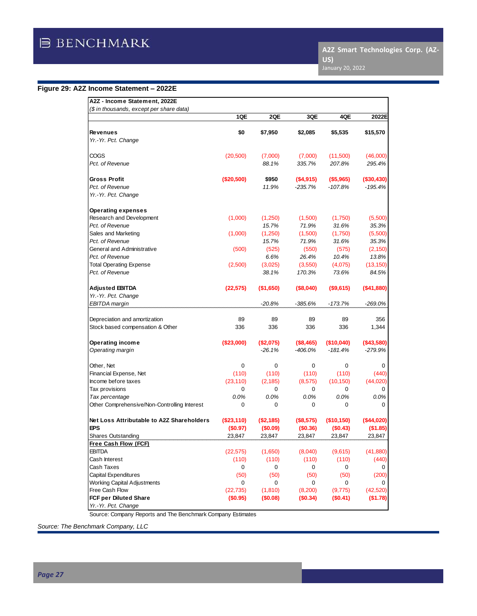## **Figure 29: A2Z Income Statement – 2022E**

| A2Z - Income Statement, 2022E                |            |            |           |            |            |
|----------------------------------------------|------------|------------|-----------|------------|------------|
| (\$ in thousands, except per share data)     |            |            |           |            |            |
|                                              | 1QE        | 2QE        | 3QE       | 4QE        | 2022E      |
| <b>Revenues</b>                              | \$0        | \$7,950    | \$2,085   | \$5,535    | \$15,570   |
| Yr.-Yr. Pct. Change                          |            |            |           |            |            |
|                                              |            |            |           |            |            |
| COGS                                         | (20, 500)  | (7,000)    | (7,000)   | (11,500)   | (46,000)   |
| Pct. of Revenue                              |            | 88.1%      | 335.7%    | 207.8%     | 295.4%     |
|                                              |            |            |           |            |            |
| Gross Profit                                 | (\$20,500) | \$950      | (\$4,915) | ( \$5,965) | (\$30,430) |
| Pct. of Revenue                              |            | 11.9%      | -235.7%   | $-107.8%$  | -195.4%    |
| Yr.-Yr. Pct. Change                          |            |            |           |            |            |
| Operating expenses                           |            |            |           |            |            |
| Research and Development                     | (1,000)    | (1,250)    | (1,500)   | (1,750)    | (5,500)    |
| Pct. of Revenue                              |            | 15.7%      | 71.9%     | 31.6%      | 35.3%      |
| Sales and Marketing                          | (1,000)    | (1,250)    | (1,500)   | (1,750)    | (5,500)    |
| Pct. of Revenue                              |            | 15.7%      | 71.9%     | 31.6%      | 35.3%      |
| General and Administrative                   | (500)      | (525)      | (550)     | (575)      | (2, 150)   |
| Pct. of Revenue                              |            | 6.6%       | 26.4%     | 10.4%      | 13.8%      |
| Total Operating Expense                      | (2,500)    | (3,025)    | (3,550)   | (4,075)    | (13, 150)  |
| Pct. of Revenue                              |            | 38.1%      | 170.3%    | 73.6%      | 84.5%      |
|                                              |            |            |           |            |            |
| Adjusted EBITDA                              | (22, 575)  | ( \$1,650) | (\$8,040) | (\$9,615)  | (\$41,880) |
| Yr.-Yr. Pct. Change<br>EBITDA margin         |            |            |           |            |            |
|                                              |            | -20.8%     | -385.6%   | $-173.7%$  | -269.0%    |
| Depreciation and amortization                | 89         | 89         | 89        | 89         | 356        |
| Stock based compensation & Other             | 336        | 336        | 336       | 336        | 1,344      |
|                                              |            |            |           |            |            |
| Operating income                             | (\$23,000) | (\$2,075)  | (\$8,465) | (\$10,040) | (\$43,580) |
| Operating margin                             |            | $-26.1%$   | -406.0%   | $-181.4%$  | -279.9%    |
| Other, Net                                   | 0          | 0          | 0         | 0          | 0          |
| Financial Expense, Net                       | (110)      | (110)      | (110)     | (110)      | (440)      |
| Income before taxes                          | (23, 110)  | (2, 185)   | (8, 575)  | (10, 150)  | (44, 020)  |
| Tax provisions                               | 0          | 0          | 0         | 0          | 0          |
| Tax percentage                               | 0.0%       | 0.0%       | 0.0%      | 0.0%       | 0.0%       |
| Other Comprehensive/Non-Controlling Interest | 0          | 0          | 0         | 0          | 0          |
| Net Loss Attributable to A2Z Shareholders    | (\$23,110) | (\$2,185)  | (\$8,575) | (\$10,150) | (\$44,020) |
| EPS                                          | (\$0.97)   | (\$0.09)   | (\$0.36)  | (\$0.43)   | (\$1.85)   |
| Shares Outstanding                           | 23,847     | 23,847     | 23,847    | 23,847     | 23,847     |
| Free Cash Flow (FCF)                         |            |            |           |            |            |
| EBITDA                                       | (22, 575)  | (1,650)    | (8,040)   | (9,615)    | (41, 880)  |
| Cash Interest                                | (110)      | (110)      | (110)     | (110)      | (440)      |
| Cash Taxes                                   | 0          | 0          | 0         | 0          | 0          |
| Capital Expenditures                         | (50)       | (50)       | (50)      | (50)       | (200)      |
| <b>Working Capital Adjustments</b>           | 0          | 0          | 0         | 0          | 0          |
| Free Cash Flow                               | (22, 735)  | (1, 810)   | (8,200)   | (9, 775)   | (42, 520)  |
| FCF per Diluted Share                        | (\$0.95)   | (\$0.08)   | (\$0.34)  | (\$0.41)   | ( \$1.78)  |
| Yr.-Yr. Pct. Change                          |            |            |           |            |            |

Source: Company Reports and The Benchmark Company Estimates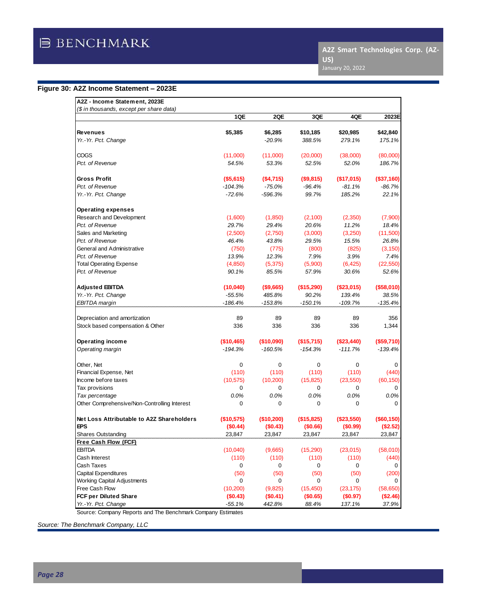**A2Z Smart Technologies Corp. (AZ-US)**

## **Figure 30: A2Z Income Statement – 2023E**

| A2Z - Income Statement, 2023E                |            |            |            |            |             |
|----------------------------------------------|------------|------------|------------|------------|-------------|
| (\$ in thousands, except per share data)     |            |            |            |            |             |
|                                              | 1QE        | 2QE        | 3QE        | 4QE        | 2023E       |
| <b>Revenues</b>                              | \$5,385    | \$6,285    | \$10,185   | \$20,985   | \$42,840    |
| Yr.-Yr. Pct. Change                          |            | $-20.9%$   | 388.5%     | 279.1%     | 175.1%      |
|                                              |            |            |            |            |             |
| COGS                                         | (11,000)   | (11,000)   | (20,000)   | (38,000)   | (80,000)    |
| Pct. of Revenue                              | 54.5%      | 53.3%      | 52.5%      | 52.0%      | 186.7%      |
| <b>Gross Profit</b>                          | ( \$5,615) | (\$4,715)  | (\$9,815)  | (\$17,015) | (\$37,160)  |
| Pct. of Revenue                              | $-104.3%$  | $-75.0%$   | -96.4%     | $-81.1%$   | $-86.7%$    |
| Yr.-Yr. Pct. Change                          | -72.6%     | -596.3%    | 99.7%      | 185.2%     | 22.1%       |
| Operating expenses                           |            |            |            |            |             |
| Research and Development                     | (1,600)    | (1,850)    | (2,100)    | (2,350)    | (7,900)     |
| Pct. of Revenue                              | 29.7%      | 29.4%      | 20.6%      | 11.2%      | 18.4%       |
| Sales and Marketing                          | (2,500)    | (2,750)    | (3,000)    | (3,250)    | (11,500)    |
| Pct. of Revenue                              | 46.4%      | 43.8%      | 29.5%      | 15.5%      | 26.8%       |
| General and Administrative                   | (750)      | (775)      | (800)      | (825)      | (3, 150)    |
| Pct. of Revenue                              | 13.9%      | 12.3%      | 7.9%       | 3.9%       | 7.4%        |
| Total Operating Expense                      | (4, 850)   | (5,375)    | (5,900)    | (6, 425)   | (22, 550)   |
| Pct. of Revenue                              | 90.1%      | 85.5%      | 57.9%      | 30.6%      | 52.6%       |
| <b>Adjusted EBITDA</b>                       | (10, 040)  | (\$9,665)  | (\$15,290) | (\$23,015) | ( \$58,010) |
| Yr.-Yr. Pct. Change                          | $-55.5%$   | 485.8%     | 90.2%      | 139.4%     | 38.5%       |
| <b>EBITDA</b> margin                         | -186.4%    | $-153.8%$  | - 150.1%   | $-109.7%$  | -135.4%     |
|                                              |            |            |            |            |             |
| Depreciation and amortization                | 89         | 89         | 89         | 89         | 356         |
| Stock based compensation & Other             | 336        | 336        | 336        | 336        | 1,344       |
| Operating income                             | (\$10,465) | (\$10,090) | (\$15,715) | (\$23,440) | (\$59,710)  |
| Operating margin                             | $-194.3%$  | $-160.5%$  | $-154.3%$  | $-111.7%$  | $-139.4%$   |
| Other, Net                                   | 0          | 0          | 0          | 0          | 0           |
| Financial Expense, Net                       | (110)      | (110)      | (110)      | (110)      | (440)       |
| Income before taxes                          | (10, 575)  | (10,200)   | (15, 825)  | (23, 550)  | (60, 150)   |
| Tax provisions                               | 0          | 0          | 0          | 0          | $\Omega$    |
| Tax percentage                               | 0.0%       | 0.0%       | 0.0%       | 0.0%       | 0.0%        |
| Other Comprehensive/Non-Controlling Interest | 0          | 0          | 0          | 0          | 0           |
| Net Loss Attributable to A2Z Shareholders    | (\$10,575) | (\$10,200) | (\$15,825) | (\$23,550) | (\$60,150)  |
| EPS                                          | (\$0.44)   | (\$0.43)   | (\$0.66)   | (\$0.99)   | (\$2.52)    |
| <b>Shares Outstanding</b>                    | 23,847     | 23,847     | 23,847     | 23,847     | 23,847      |
| Free Cash Flow (FCF)                         |            |            |            |            |             |
| EBITDA                                       | (10,040)   | (9,665)    | (15, 290)  | (23, 015)  | (58,010)    |
| Cash Interest                                | (110)      | (110)      | (110)      | (110)      | (440)       |
| Cash Taxes                                   | 0          | 0          | 0          | 0          | 0           |
| Capital Expenditures                         | (50)       | (50)       | (50)       | (50)       | (200)       |
| <b>Working Capital Adjustments</b>           | 0          | 0          | 0          | 0          | $\Omega$    |
| Free Cash Flow                               | (10, 200)  | (9,825)    | (15, 450)  | (23, 175)  | (58, 650)   |
| FCF per Diluted Share                        | (\$0.43)   | (\$0.41)   | (\$0.65)   | (\$0.97)   | (\$2.46)    |
| Yr.-Yr. Pct. Change                          | -55.1%     | 442.8%     | 88.4%      | 137.1%     | 37.9%       |

Source: Company Reports and The Benchmark Company Estimates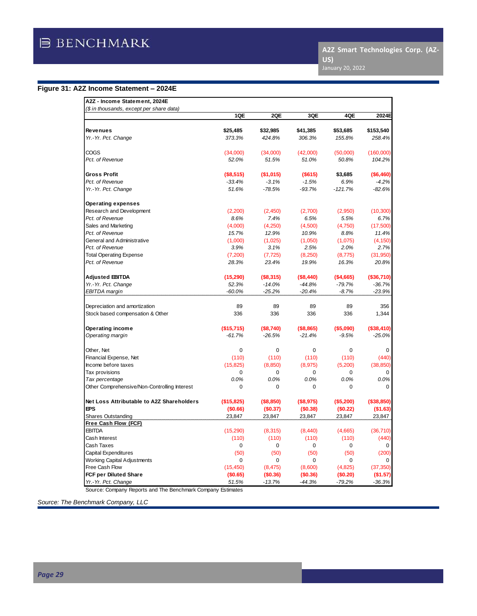**A2Z Smart Technologies Corp. (AZ-US)**

## **Figure 31: A2Z Income Statement – 2024E**

| A2Z - Income Statement, 2024E                               |            |            |             |            |              |
|-------------------------------------------------------------|------------|------------|-------------|------------|--------------|
| (\$ in thousands, except per share data)                    | 1QE        | 2QE        | 3QE         | 4QE        | 2024E        |
|                                                             |            |            |             |            |              |
| <b>Revenues</b>                                             | \$25.485   | \$32.985   | \$41,385    | \$53.685   | \$153.540    |
| Yr.-Yr. Pct. Change                                         | 373.3%     | 424.8%     | 306.3%      | 155.8%     | 258.4%       |
| COGS                                                        | (34,000)   | (34,000)   | (42,000)    | (50,000)   | (160,000)    |
| Pct. of Revenue                                             | 52.0%      | 51.5%      | 51.0%       | 50.8%      | 104.2%       |
| <b>Gross Profit</b>                                         | ( \$8,515) | (\$1,015)  | ( \$615)    | \$3,685    | ( \$6,460)   |
| Pct. of Revenue                                             | $-33.4%$   | $-3.1%$    | $-1.5%$     | 6.9%       | $-4.2%$      |
| Yr.-Yr. Pct. Change                                         | 51.6%      | $-78.5%$   | $-93.7%$    | $-121.7%$  | $-82.6%$     |
| <b>Operating expenses</b>                                   |            |            |             |            |              |
| Research and Development                                    | (2,200)    | (2,450)    | (2,700)     | (2,950)    | (10, 300)    |
| Pct. of Revenue                                             | 8.6%       | 7.4%       | 6.5%        | 5.5%       | 6.7%         |
| Sales and Marketing                                         | (4,000)    | (4,250)    | (4,500)     | (4,750)    | (17,500)     |
| Pct. of Revenue                                             | 15.7%      | 12.9%      | 10.9%       | 8.8%       | 11.4%        |
| General and Administrative                                  | (1,000)    | (1,025)    | (1,050)     | (1,075)    | (4, 150)     |
| Pct. of Revenue                                             | 3.9%       | 3.1%       | 2.5%        | 2.0%       | 2.7%         |
| <b>Total Operating Expense</b>                              | (7,200)    | (7, 725)   | (8,250)     | (8, 775)   | (31,950)     |
| Pct. of Revenue                                             | 28.3%      | 23.4%      | 19.9%       | 16.3%      | 20.8%        |
| <b>Adjusted EBITDA</b>                                      | (15, 290)  | ( \$8,315) | ( \$8,440)  | ( \$4,665) | ( \$36, 710) |
| Yr.-Yr. Pct. Change                                         | 52.3%      | $-14.0%$   | $-44.8%$    | $-79.7%$   | $-36.7%$     |
| EBITDA margin                                               | $-60.0\%$  | $-25.2%$   | $-20.4%$    | $-8.7%$    | $-23.9%$     |
| Depreciation and amortization                               | 89         | 89         | 89          | 89         | 356          |
| Stock based compensation & Other                            | 336        | 336        | 336         | 336        | 1,344        |
| Operating income                                            | (\$15,715) | (\$8,740)  | ( \$8, 865) | ( \$5,090) | (\$38,410)   |
| Operating margin                                            | $-61.7%$   | $-26.5%$   | $-21.4%$    | $-9.5%$    | $-25.0%$     |
| Other, Net                                                  | 0          | 0          | $\mathbf 0$ | 0          | 0            |
| Financial Expense, Net                                      | (110)      | (110)      | (110)       | (110)      | (440)        |
| Income before taxes                                         | (15, 825)  | (8,850)    | (8,975)     | (5,200)    | (38, 850)    |
| Tax provisions                                              | 0          | 0          | $\mathbf 0$ | 0          | $\Omega$     |
| Tax percentage                                              | 0.0%       | 0.0%       | 0.0%        | 0.0%       | 0.0%         |
| Other Comprehensive/Non-Controlling Interest                | 0          | $\Omega$   | $\Omega$    | 0          | $\Omega$     |
| Net Loss Attributable to A2Z Shareholders                   | (\$15,825) | (\$8,850)  | (\$8,975)   | (\$5,200)  | (\$38,850)   |
| <b>EPS</b>                                                  | (\$0.66)   | (\$0.37)   | (\$0.38)    | (\$0.22)   | (\$1.63)     |
| Shares Outstanding                                          | 23,847     | 23,847     | 23,847      | 23,847     | 23,847       |
| Free Cash Flow (FCF)                                        |            |            |             |            |              |
| <b>EBITDA</b>                                               | (15, 290)  | (8,315)    | (8, 440)    | (4,665)    | (36, 710)    |
| Cash Interest                                               | (110)      | (110)      | (110)       | (110)      | (440)        |
| Cash Taxes                                                  | 0          | 0          | 0           | 0          | 0            |
| <b>Capital Expenditures</b>                                 | (50)       | (50)       | (50)        | (50)       | (200)        |
| <b>Working Capital Adjustments</b>                          | 0          | 0          | 0           | 0          | 0            |
| Free Cash Flow                                              | (15, 450)  | (8, 475)   | (8,600)     | (4,825)    | (37, 350)    |
| <b>FCF per Diluted Share</b>                                | (\$0.65)   | (\$0.36)   | (\$0.36)    | (\$0.20)   | (\$1.57)     |
| Yr.-Yr. Pct. Change                                         | 51.5%      | $-13.7%$   | $-44.3%$    | $-79.2%$   | $-36.3%$     |
| Source: Company Reports and The Benchmark Company Estimates |            |            |             |            |              |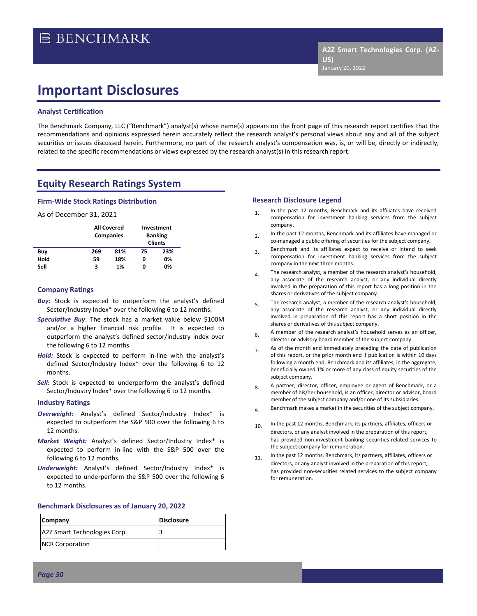# **Important Disclosures**

#### **Analyst Certification**

The Benchmark Company, LLC ("Benchmark") analyst(s) whose name(s) appears on the front page of this research report certifies that the recommendations and opinions expressed herein accurately reflect the research analyst's personal views about any and all of the subject securities or issues discussed herein. Furthermore, no part of the research analyst's compensation was, is, or will be, directly or indirectly, related to the specific recommendations or views expressed by the research analyst(s) in this research report.

## **Equity Research Ratings System**

#### **Firm-Wide Stock Ratings Distribution**

#### As of December 31, 2021

|      |     | <b>All Covered</b><br><b>Companies</b> |    | Investment<br><b>Banking</b><br><b>Clients</b> |
|------|-----|----------------------------------------|----|------------------------------------------------|
| Buy  | 269 | 81%                                    | 75 | 23%                                            |
| Hold | 59  | 18%                                    | 0  | 0%                                             |
| Sell | з   | 1%                                     | 0  | 0%                                             |

#### **Company Ratings**

- **Buy:** Stock is expected to outperform the analyst's defined Sector/Industry Index\* over the following 6 to 12 months.
- *Speculative Buy*: The stock has a market value below \$100M and/or a higher financial risk profile. It is expected to outperform the analyst's defined sector/industry index over the following 6 to 12 months.
- *Hold:* Stock is expected to perform in-line with the analyst's defined Sector/Industry Index\* over the following 6 to 12 months.
- **Sell:** Stock is expected to underperform the analyst's defined Sector/Industry Index\* over the following 6 to 12 months.

#### **Industry Ratings**

- *Overweight:* Analyst's defined Sector/Industry Index\* is expected to outperform the S&P 500 over the following 6 to 12 months.
- *Market Weight:* Analyst's defined Sector/Industry Index\* is expected to perform in-line with the S&P 500 over the following 6 to 12 months.
- *Underweight:* Analyst's defined Sector/Industry Index\* is expected to underperform the S&P 500 over the following 6 to 12 months.

#### **Benchmark Disclosures as of January 20, 2022**

| <b>Company</b>               | <b>Disclosure</b> |
|------------------------------|-------------------|
| A2Z Smart Technologies Corp. |                   |
| <b>NCR Corporation</b>       |                   |

#### **Research Disclosure Legend**

1. In the past 12 months, Benchmark and its affiliates have received compensation for investment banking services from the subject company.

**US)**

January 20, 2022

**A2Z Smart Technologies Corp. (AZ-**

- 2. In the past 12 months, Benchmark and its affiliates have managed or co-managed a public offering of securities for the subject company.
- 3. Benchmark and its affiliates expect to receive or intend to seek compensation for investment banking services from the subject company in the next three months.
- 4. The research analyst, a member of the research analyst's household, any associate of the research analyst, or any individual directly involved in the preparation of this report has a long position in the shares or derivatives of the subject company.
- 5. The research analyst, a member of the research analyst's household, any associate of the research analyst, or any individual directly involved in preparation of this report has a short position in the shares or derivatives of this subject company.
- $6.$  A member of the research analyst's household serves as an officer, director or advisory board member of the subject company.
- 7. As of the month end immediately preceding the date of publication of this report, or the prior month end if publication is within 10 days following a month end, Benchmark and its affiliates, in the aggregate, beneficially owned 1% or more of any class of equity securities of the subject company.
- 8. A partner, director, officer, employee or agent of Benchmark, or a member of his/her household, is an officer, director or advisor, board member of the subject company and/or one of its subsidiaries.
- 9. Benchmark makes a market in the securities of the subject company.
- 10. In the past 12 months, Benchmark, its partners, affiliates, officers or directors, or any analyst involved in the preparation of this report, has provided non-investment banking securities-related services to the subject company for remuneration.
- 11 In the past 12 months, Benchmark, its partners, affiliates, officers or directors, or any analyst involved in the preparation of this report, has provided non-securities related services to the subject company for remuneration.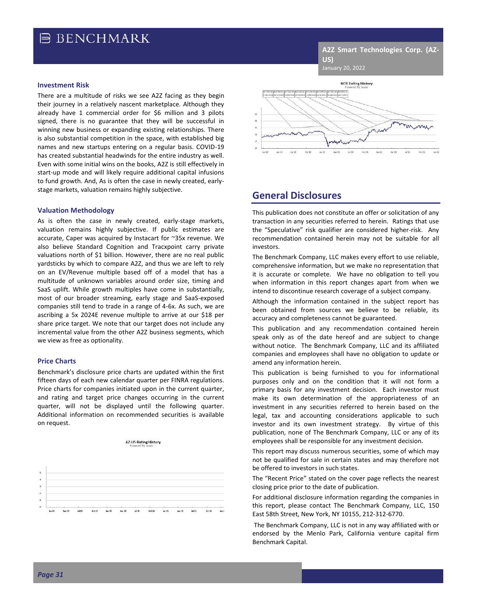## **B BENCHMARK**

**A2Z Smart Technologies Corp. (AZ-US)** January 20, 2022

#### **Investment Risk**

There are a multitude of risks we see A2Z facing as they begin their journey in a relatively nascent marketplace. Although they already have 1 commercial order for \$6 million and 3 pilots signed, there is no guarantee that they will be successful in winning new business or expanding existing relationships. There is also substantial competition in the space, with established big names and new startups entering on a regular basis. COVID-19 has created substantial headwinds for the entire industry as well. Even with some initial wins on the books, A2Z is still effectively in start-up mode and will likely require additional capital infusions to fund growth. And, As is often the case in newly created, earlystage markets, valuation remains highly subjective.

#### **Valuation Methodology**

As is often the case in newly created, early-stage markets, valuation remains highly subjective. If public estimates are accurate, Caper was acquired by Instacart for ~35x revenue. We also believe Standard Cognition and Tracxpoint carry private valuations north of \$1 billion. However, there are no real public yardsticks by which to compare A2Z, and thus we are left to rely on an EV/Revenue multiple based off of a model that has a multitude of unknown variables around order size, timing and SaaS uplift. While growth multiples have come in substantially, most of our broader streaming, early stage and SaaS-exposed companies still tend to trade in a range of 4-6x. As such, we are ascribing a 5x 2024E revenue multiple to arrive at our \$18 per share price target. We note that our target does not include any incremental value from the other A2Z business segments, which we view as free as optionality.

#### **Price Charts**

Benchmark's disclosure price charts are updated within the first fifteen days of each new calendar quarter per FINRA regulations. Price charts for companies initiated upon in the current quarter, and rating and target price changes occurring in the current quarter, will not be displayed until the following quarter. Additional information on recommended securities is available on request.





### **General Disclosures**

This publication does not constitute an offer or solicitation of any transaction in any securities referred to herein. Ratings that use the "Speculative" risk qualifier are considered higher-risk. Any recommendation contained herein may not be suitable for all investors.

The Benchmark Company, LLC makes every effort to use reliable, comprehensive information, but we make no representation that it is accurate or complete. We have no obligation to tell you when information in this report changes apart from when we intend to discontinue research coverage of a subject company.

Although the information contained in the subject report has been obtained from sources we believe to be reliable, its accuracy and completeness cannot be guaranteed.

This publication and any recommendation contained herein speak only as of the date hereof and are subject to change without notice. The Benchmark Company, LLC and its affiliated companies and employees shall have no obligation to update or amend any information herein.

This publication is being furnished to you for informational purposes only and on the condition that it will not form a primary basis for any investment decision. Each investor must make its own determination of the appropriateness of an investment in any securities referred to herein based on the legal, tax and accounting considerations applicable to such investor and its own investment strategy. By virtue of this publication, none of The Benchmark Company, LLC or any of its employees shall be responsible for any investment decision.

This report may discuss numerous securities, some of which may not be qualified for sale in certain states and may therefore not be offered to investors in such states.

The "Recent Price" stated on the cover page reflects the nearest closing price prior to the date of publication.

For additional disclosure information regarding the companies in this report, please contact The Benchmark Company, LLC, 150 East 58th Street, New York, NY 10155, 212-312-6770.

The Benchmark Company, LLC is not in any way affiliated with or endorsed by the Menlo Park, California venture capital firm Benchmark Capital.